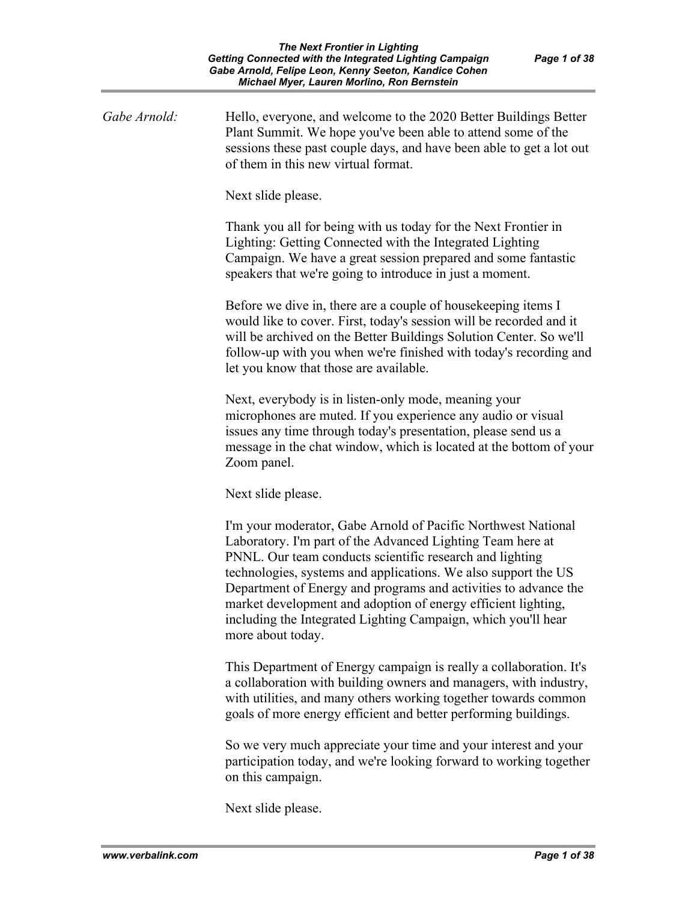| Gabe Arnold: | Hello, everyone, and welcome to the 2020 Better Buildings Better<br>Plant Summit. We hope you've been able to attend some of the<br>sessions these past couple days, and have been able to get a lot out<br>of them in this new virtual format.                                                                                                                                                                                                                                     |
|--------------|-------------------------------------------------------------------------------------------------------------------------------------------------------------------------------------------------------------------------------------------------------------------------------------------------------------------------------------------------------------------------------------------------------------------------------------------------------------------------------------|
|              | Next slide please.                                                                                                                                                                                                                                                                                                                                                                                                                                                                  |
|              | Thank you all for being with us today for the Next Frontier in<br>Lighting: Getting Connected with the Integrated Lighting<br>Campaign. We have a great session prepared and some fantastic<br>speakers that we're going to introduce in just a moment.                                                                                                                                                                                                                             |
|              | Before we dive in, there are a couple of house keeping items I<br>would like to cover. First, today's session will be recorded and it<br>will be archived on the Better Buildings Solution Center. So we'll<br>follow-up with you when we're finished with today's recording and<br>let you know that those are available.                                                                                                                                                          |
|              | Next, everybody is in listen-only mode, meaning your<br>microphones are muted. If you experience any audio or visual<br>issues any time through today's presentation, please send us a<br>message in the chat window, which is located at the bottom of your<br>Zoom panel.                                                                                                                                                                                                         |
|              | Next slide please.                                                                                                                                                                                                                                                                                                                                                                                                                                                                  |
|              | I'm your moderator, Gabe Arnold of Pacific Northwest National<br>Laboratory. I'm part of the Advanced Lighting Team here at<br>PNNL. Our team conducts scientific research and lighting<br>technologies, systems and applications. We also support the US<br>Department of Energy and programs and activities to advance the<br>market development and adoption of energy efficient lighting,<br>including the Integrated Lighting Campaign, which you'll hear<br>more about today. |
|              | This Department of Energy campaign is really a collaboration. It's<br>a collaboration with building owners and managers, with industry,<br>with utilities, and many others working together towards common<br>goals of more energy efficient and better performing buildings.                                                                                                                                                                                                       |
|              | So we very much appreciate your time and your interest and your<br>participation today, and we're looking forward to working together<br>on this campaign.                                                                                                                                                                                                                                                                                                                          |

Next slide please.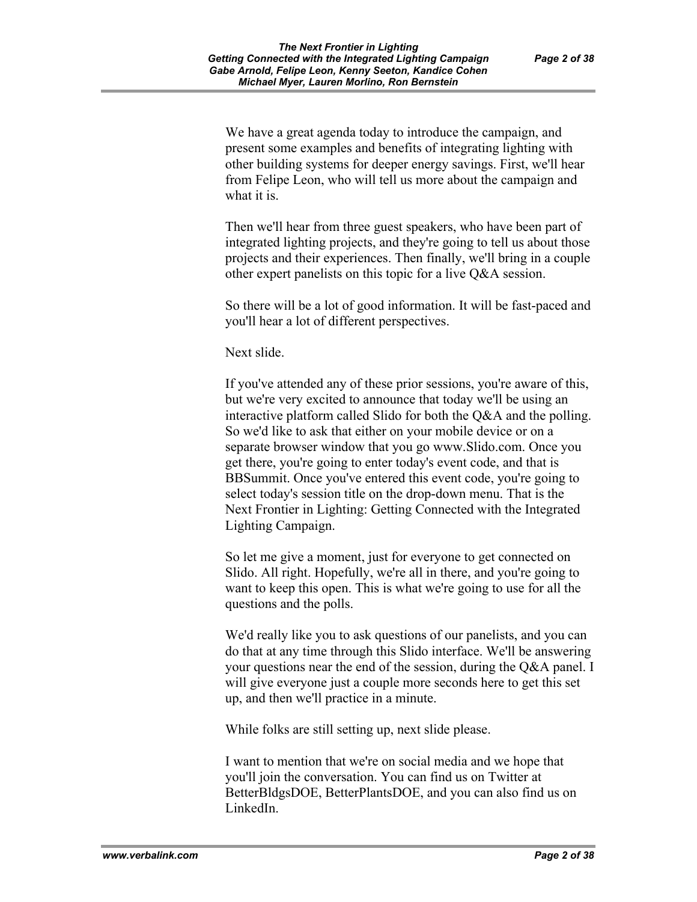We have a great agenda today to introduce the campaign, and present some examples and benefits of integrating lighting with other building systems for deeper energy savings. First, we'll hear from Felipe Leon, who will tell us more about the campaign and what it is.

Then we'll hear from three guest speakers, who have been part of integrated lighting projects, and they're going to tell us about those projects and their experiences. Then finally, we'll bring in a couple other expert panelists on this topic for a live Q&A session.

So there will be a lot of good information. It will be fast-paced and you'll hear a lot of different perspectives.

Next slide.

If you've attended any of these prior sessions, you're aware of this, but we're very excited to announce that today we'll be using an interactive platform called Slido for both the Q&A and the polling. So we'd like to ask that either on your mobile device or on a separate browser window that you go www.Slido.com. Once you get there, you're going to enter today's event code, and that is BBSummit. Once you've entered this event code, you're going to select today's session title on the drop-down menu. That is the Next Frontier in Lighting: Getting Connected with the Integrated Lighting Campaign.

So let me give a moment, just for everyone to get connected on Slido. All right. Hopefully, we're all in there, and you're going to want to keep this open. This is what we're going to use for all the questions and the polls.

We'd really like you to ask questions of our panelists, and you can do that at any time through this Slido interface. We'll be answering your questions near the end of the session, during the Q&A panel. I will give everyone just a couple more seconds here to get this set up, and then we'll practice in a minute.

While folks are still setting up, next slide please.

I want to mention that we're on social media and we hope that you'll join the conversation. You can find us on Twitter at BetterBldgsDOE, BetterPlantsDOE, and you can also find us on LinkedIn.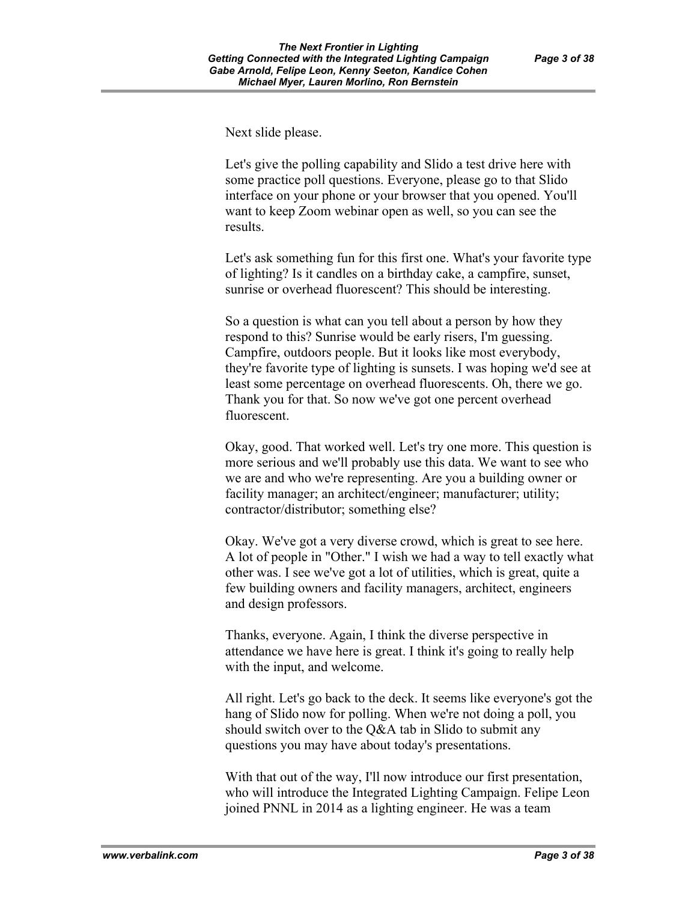Next slide please.

Let's give the polling capability and Slido a test drive here with some practice poll questions. Everyone, please go to that Slido interface on your phone or your browser that you opened. You'll want to keep Zoom webinar open as well, so you can see the results.

Let's ask something fun for this first one. What's your favorite type of lighting? Is it candles on a birthday cake, a campfire, sunset, sunrise or overhead fluorescent? This should be interesting.

So a question is what can you tell about a person by how they respond to this? Sunrise would be early risers, I'm guessing. Campfire, outdoors people. But it looks like most everybody, they're favorite type of lighting is sunsets. I was hoping we'd see at least some percentage on overhead fluorescents. Oh, there we go. Thank you for that. So now we've got one percent overhead fluorescent.

Okay, good. That worked well. Let's try one more. This question is more serious and we'll probably use this data. We want to see who we are and who we're representing. Are you a building owner or facility manager; an architect/engineer; manufacturer; utility; contractor/distributor; something else?

Okay. We've got a very diverse crowd, which is great to see here. A lot of people in "Other." I wish we had a way to tell exactly what other was. I see we've got a lot of utilities, which is great, quite a few building owners and facility managers, architect, engineers and design professors.

Thanks, everyone. Again, I think the diverse perspective in attendance we have here is great. I think it's going to really help with the input, and welcome.

All right. Let's go back to the deck. It seems like everyone's got the hang of Slido now for polling. When we're not doing a poll, you should switch over to the Q&A tab in Slido to submit any questions you may have about today's presentations.

With that out of the way, I'll now introduce our first presentation, who will introduce the Integrated Lighting Campaign. Felipe Leon joined PNNL in 2014 as a lighting engineer. He was a team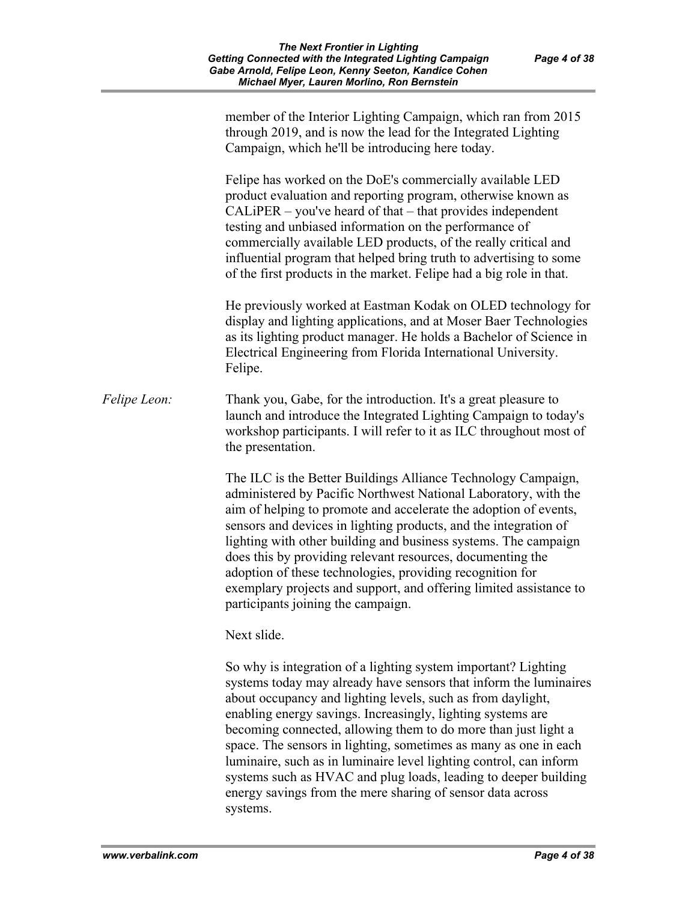|              | member of the Interior Lighting Campaign, which ran from 2015<br>through 2019, and is now the lead for the Integrated Lighting<br>Campaign, which he'll be introducing here today.                                                                                                                                                                                                                                                                                                                                                                                                 |
|--------------|------------------------------------------------------------------------------------------------------------------------------------------------------------------------------------------------------------------------------------------------------------------------------------------------------------------------------------------------------------------------------------------------------------------------------------------------------------------------------------------------------------------------------------------------------------------------------------|
|              | Felipe has worked on the DoE's commercially available LED<br>product evaluation and reporting program, otherwise known as<br>$CALiPER - you've heard of that - that provides independent$<br>testing and unbiased information on the performance of<br>commercially available LED products, of the really critical and<br>influential program that helped bring truth to advertising to some<br>of the first products in the market. Felipe had a big role in that.                                                                                                                |
|              | He previously worked at Eastman Kodak on OLED technology for<br>display and lighting applications, and at Moser Baer Technologies<br>as its lighting product manager. He holds a Bachelor of Science in<br>Electrical Engineering from Florida International University.<br>Felipe.                                                                                                                                                                                                                                                                                                |
| Felipe Leon: | Thank you, Gabe, for the introduction. It's a great pleasure to<br>launch and introduce the Integrated Lighting Campaign to today's<br>workshop participants. I will refer to it as ILC throughout most of<br>the presentation.                                                                                                                                                                                                                                                                                                                                                    |
|              | The ILC is the Better Buildings Alliance Technology Campaign,<br>administered by Pacific Northwest National Laboratory, with the<br>aim of helping to promote and accelerate the adoption of events,<br>sensors and devices in lighting products, and the integration of<br>lighting with other building and business systems. The campaign<br>does this by providing relevant resources, documenting the<br>adoption of these technologies, providing recognition for<br>exemplary projects and support, and offering limited assistance to<br>participants joining the campaign. |
|              | Next slide.                                                                                                                                                                                                                                                                                                                                                                                                                                                                                                                                                                        |
|              | So why is integration of a lighting system important? Lighting<br>systems today may already have sensors that inform the luminaires<br>about occupancy and lighting levels, such as from daylight,<br>enabling energy savings. Increasingly, lighting systems are<br>becoming connected, allowing them to do more than just light a<br>space. The sensors in lighting, sometimes as many as one in each<br>luminaire, such as in luminaire level lighting control, can inform<br>systems such as HVAC and plug loads leading to deeper building                                    |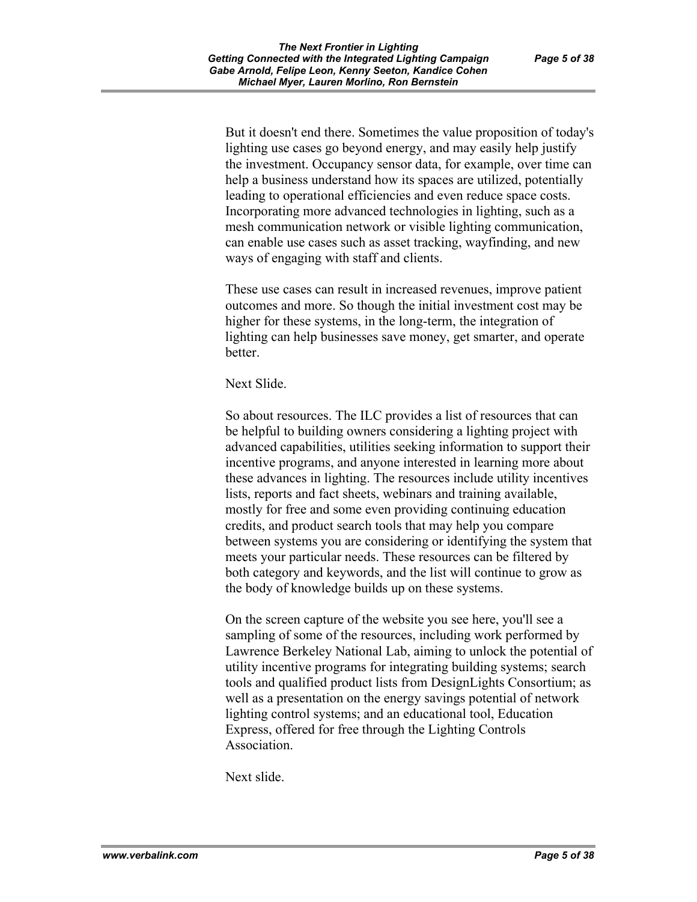But it doesn't end there. Sometimes the value proposition of today's lighting use cases go beyond energy, and may easily help justify the investment. Occupancy sensor data, for example, over time can help a business understand how its spaces are utilized, potentially leading to operational efficiencies and even reduce space costs. Incorporating more advanced technologies in lighting, such as a mesh communication network or visible lighting communication, can enable use cases such as asset tracking, wayfinding, and new ways of engaging with staff and clients.

These use cases can result in increased revenues, improve patient outcomes and more. So though the initial investment cost may be higher for these systems, in the long-term, the integration of lighting can help businesses save money, get smarter, and operate better.

Next Slide.

So about resources. The ILC provides a list of resources that can be helpful to building owners considering a lighting project with advanced capabilities, utilities seeking information to support their incentive programs, and anyone interested in learning more about these advances in lighting. The resources include utility incentives lists, reports and fact sheets, webinars and training available, mostly for free and some even providing continuing education credits, and product search tools that may help you compare between systems you are considering or identifying the system that meets your particular needs. These resources can be filtered by both category and keywords, and the list will continue to grow as the body of knowledge builds up on these systems.

On the screen capture of the website you see here, you'll see a sampling of some of the resources, including work performed by Lawrence Berkeley National Lab, aiming to unlock the potential of utility incentive programs for integrating building systems; search tools and qualified product lists from DesignLights Consortium; as well as a presentation on the energy savings potential of network lighting control systems; and an educational tool, Education Express, offered for free through the Lighting Controls Association.

Next slide.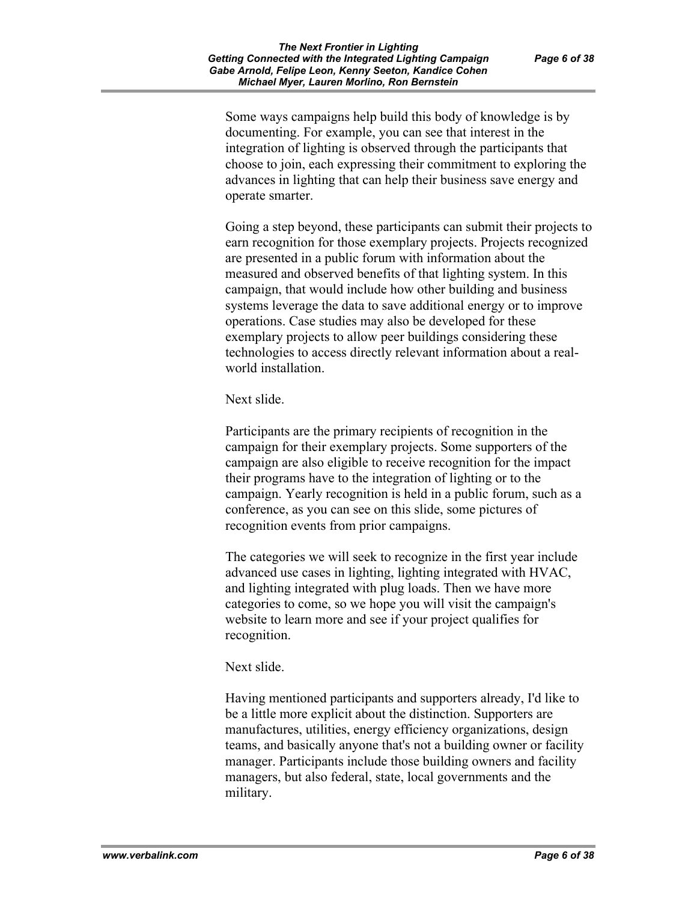Some ways campaigns help build this body of knowledge is by documenting. For example, you can see that interest in the integration of lighting is observed through the participants that choose to join, each expressing their commitment to exploring the advances in lighting that can help their business save energy and operate smarter.

Going a step beyond, these participants can submit their projects to earn recognition for those exemplary projects. Projects recognized are presented in a public forum with information about the measured and observed benefits of that lighting system. In this campaign, that would include how other building and business systems leverage the data to save additional energy or to improve operations. Case studies may also be developed for these exemplary projects to allow peer buildings considering these technologies to access directly relevant information about a realworld installation.

Next slide.

Participants are the primary recipients of recognition in the campaign for their exemplary projects. Some supporters of the campaign are also eligible to receive recognition for the impact their programs have to the integration of lighting or to the campaign. Yearly recognition is held in a public forum, such as a conference, as you can see on this slide, some pictures of recognition events from prior campaigns.

The categories we will seek to recognize in the first year include advanced use cases in lighting, lighting integrated with HVAC, and lighting integrated with plug loads. Then we have more categories to come, so we hope you will visit the campaign's website to learn more and see if your project qualifies for recognition.

Next slide.

Having mentioned participants and supporters already, I'd like to be a little more explicit about the distinction. Supporters are manufactures, utilities, energy efficiency organizations, design teams, and basically anyone that's not a building owner or facility manager. Participants include those building owners and facility managers, but also federal, state, local governments and the military.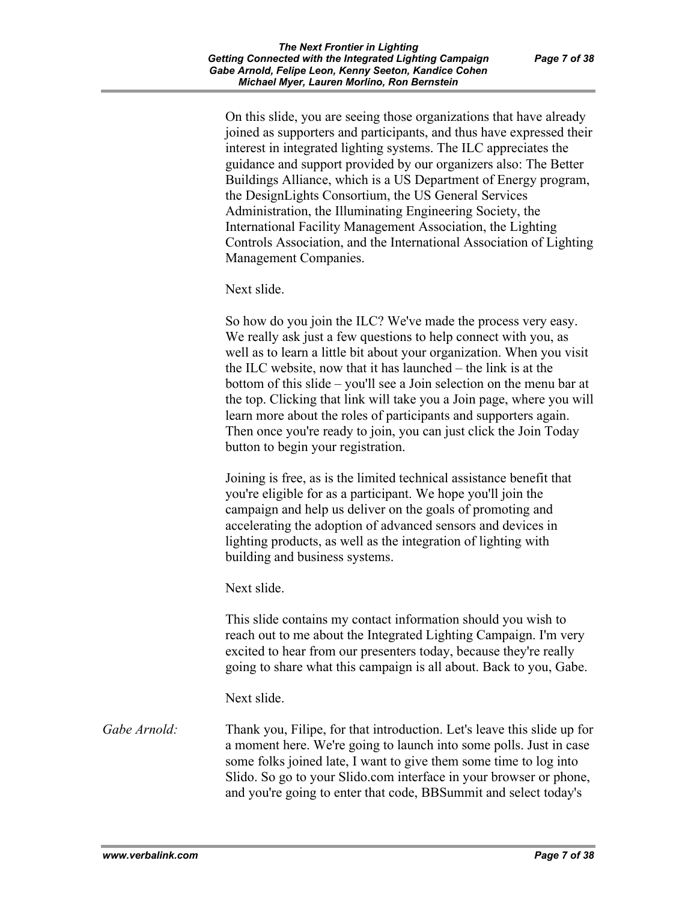On this slide, you are seeing those organizations that have already joined as supporters and participants, and thus have expressed their interest in integrated lighting systems. The ILC appreciates the guidance and support provided by our organizers also: The Better Buildings Alliance, which is a US Department of Energy program, the DesignLights Consortium, the US General Services Administration, the Illuminating Engineering Society, the International Facility Management Association, the Lighting Controls Association, and the International Association of Lighting Management Companies.

Next slide.

So how do you join the ILC? We've made the process very easy. We really ask just a few questions to help connect with you, as well as to learn a little bit about your organization. When you visit the ILC website, now that it has launched – the link is at the bottom of this slide – you'll see a Join selection on the menu bar at the top. Clicking that link will take you a Join page, where you will learn more about the roles of participants and supporters again. Then once you're ready to join, you can just click the Join Today button to begin your registration.

Joining is free, as is the limited technical assistance benefit that you're eligible for as a participant. We hope you'll join the campaign and help us deliver on the goals of promoting and accelerating the adoption of advanced sensors and devices in lighting products, as well as the integration of lighting with building and business systems.

Next slide.

This slide contains my contact information should you wish to reach out to me about the Integrated Lighting Campaign. I'm very excited to hear from our presenters today, because they're really going to share what this campaign is all about. Back to you, Gabe.

Next slide.

*Gabe Arnold:* Thank you, Filipe, for that introduction. Let's leave this slide up for a moment here. We're going to launch into some polls. Just in case some folks joined late, I want to give them some time to log into Slido. So go to your Slido.com interface in your browser or phone, and you're going to enter that code, BBSummit and select today's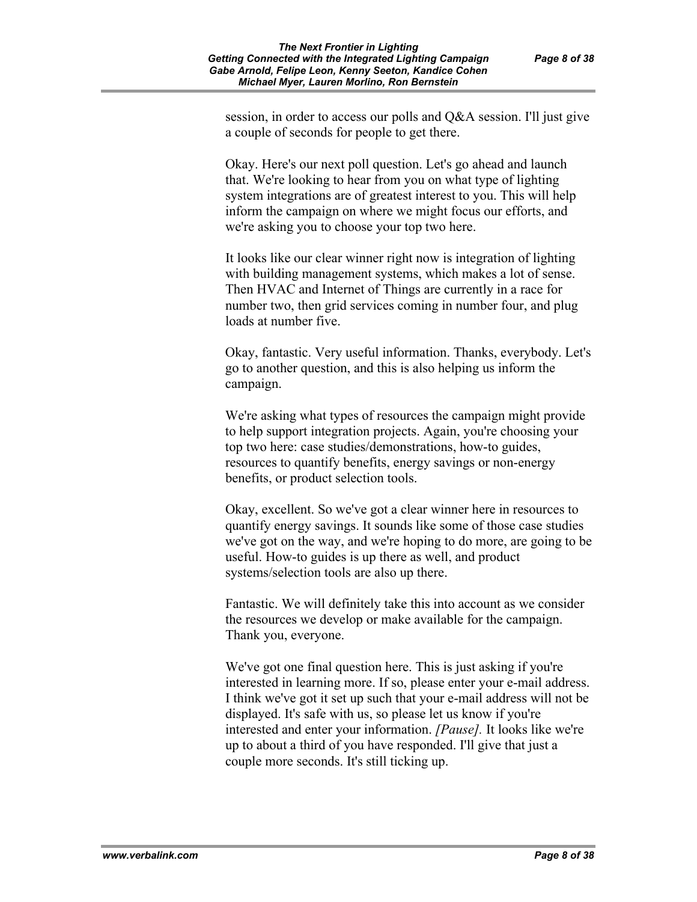session, in order to access our polls and Q&A session. I'll just give a couple of seconds for people to get there.

Okay. Here's our next poll question. Let's go ahead and launch that. We're looking to hear from you on what type of lighting system integrations are of greatest interest to you. This will help inform the campaign on where we might focus our efforts, and we're asking you to choose your top two here.

It looks like our clear winner right now is integration of lighting with building management systems, which makes a lot of sense. Then HVAC and Internet of Things are currently in a race for number two, then grid services coming in number four, and plug loads at number five.

Okay, fantastic. Very useful information. Thanks, everybody. Let's go to another question, and this is also helping us inform the campaign.

We're asking what types of resources the campaign might provide to help support integration projects. Again, you're choosing your top two here: case studies/demonstrations, how-to guides, resources to quantify benefits, energy savings or non-energy benefits, or product selection tools.

Okay, excellent. So we've got a clear winner here in resources to quantify energy savings. It sounds like some of those case studies we've got on the way, and we're hoping to do more, are going to be useful. How-to guides is up there as well, and product systems/selection tools are also up there.

Fantastic. We will definitely take this into account as we consider the resources we develop or make available for the campaign. Thank you, everyone.

We've got one final question here. This is just asking if you're interested in learning more. If so, please enter your e-mail address. I think we've got it set up such that your e-mail address will not be displayed. It's safe with us, so please let us know if you're interested and enter your information. *[Pause].* It looks like we're up to about a third of you have responded. I'll give that just a couple more seconds. It's still ticking up.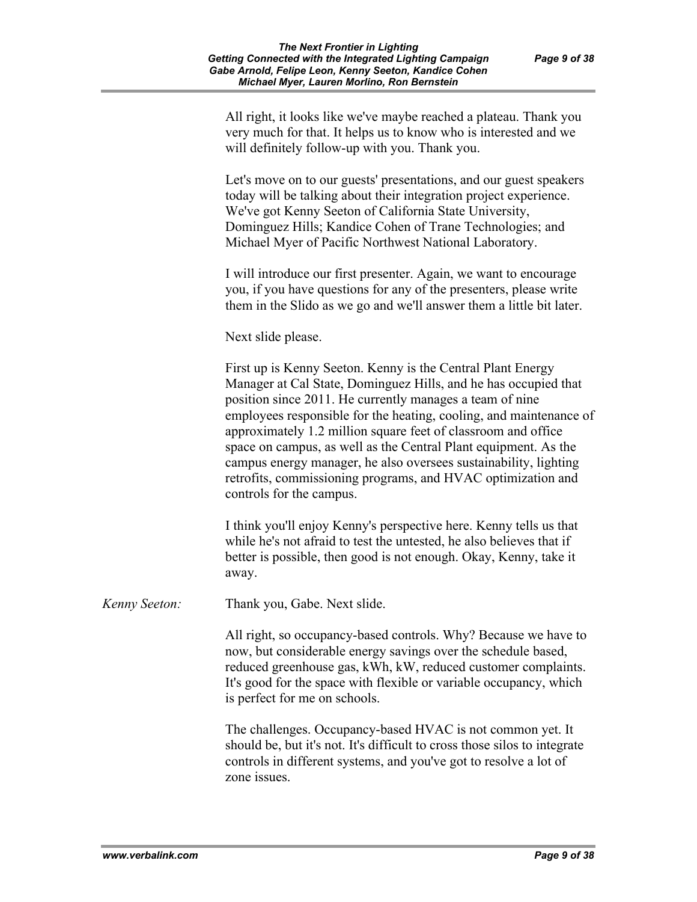All right, it looks like we've maybe reached a plateau. Thank you very much for that. It helps us to know who is interested and we will definitely follow-up with you. Thank you.

Let's move on to our guests' presentations, and our guest speakers today will be talking about their integration project experience. We've got Kenny Seeton of California State University, Dominguez Hills; Kandice Cohen of Trane Technologies; and Michael Myer of Pacific Northwest National Laboratory.

I will introduce our first presenter. Again, we want to encourage you, if you have questions for any of the presenters, please write them in the Slido as we go and we'll answer them a little bit later.

Next slide please.

First up is Kenny Seeton. Kenny is the Central Plant Energy Manager at Cal State, Dominguez Hills, and he has occupied that position since 2011. He currently manages a team of nine employees responsible for the heating, cooling, and maintenance of approximately 1.2 million square feet of classroom and office space on campus, as well as the Central Plant equipment. As the campus energy manager, he also oversees sustainability, lighting retrofits, commissioning programs, and HVAC optimization and controls for the campus.

I think you'll enjoy Kenny's perspective here. Kenny tells us that while he's not afraid to test the untested, he also believes that if better is possible, then good is not enough. Okay, Kenny, take it away.

*Kenny Seeton:* Thank you, Gabe. Next slide.

All right, so occupancy-based controls. Why? Because we have to now, but considerable energy savings over the schedule based, reduced greenhouse gas, kWh, kW, reduced customer complaints. It's good for the space with flexible or variable occupancy, which is perfect for me on schools.

The challenges. Occupancy-based HVAC is not common yet. It should be, but it's not. It's difficult to cross those silos to integrate controls in different systems, and you've got to resolve a lot of zone issues.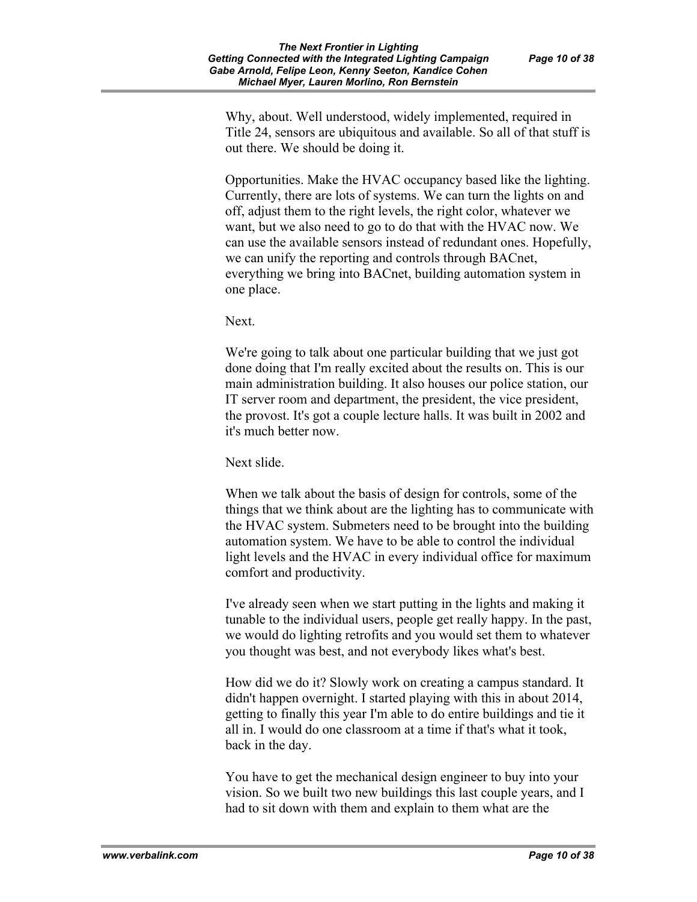Why, about. Well understood, widely implemented, required in Title 24, sensors are ubiquitous and available. So all of that stuff is out there. We should be doing it.

Opportunities. Make the HVAC occupancy based like the lighting. Currently, there are lots of systems. We can turn the lights on and off, adjust them to the right levels, the right color, whatever we want, but we also need to go to do that with the HVAC now. We can use the available sensors instead of redundant ones. Hopefully, we can unify the reporting and controls through BACnet, everything we bring into BACnet, building automation system in one place.

Next.

We're going to talk about one particular building that we just got done doing that I'm really excited about the results on. This is our main administration building. It also houses our police station, our IT server room and department, the president, the vice president, the provost. It's got a couple lecture halls. It was built in 2002 and it's much better now.

Next slide.

When we talk about the basis of design for controls, some of the things that we think about are the lighting has to communicate with the HVAC system. Submeters need to be brought into the building automation system. We have to be able to control the individual light levels and the HVAC in every individual office for maximum comfort and productivity.

I've already seen when we start putting in the lights and making it tunable to the individual users, people get really happy. In the past, we would do lighting retrofits and you would set them to whatever you thought was best, and not everybody likes what's best.

How did we do it? Slowly work on creating a campus standard. It didn't happen overnight. I started playing with this in about 2014, getting to finally this year I'm able to do entire buildings and tie it all in. I would do one classroom at a time if that's what it took, back in the day.

You have to get the mechanical design engineer to buy into your vision. So we built two new buildings this last couple years, and I had to sit down with them and explain to them what are the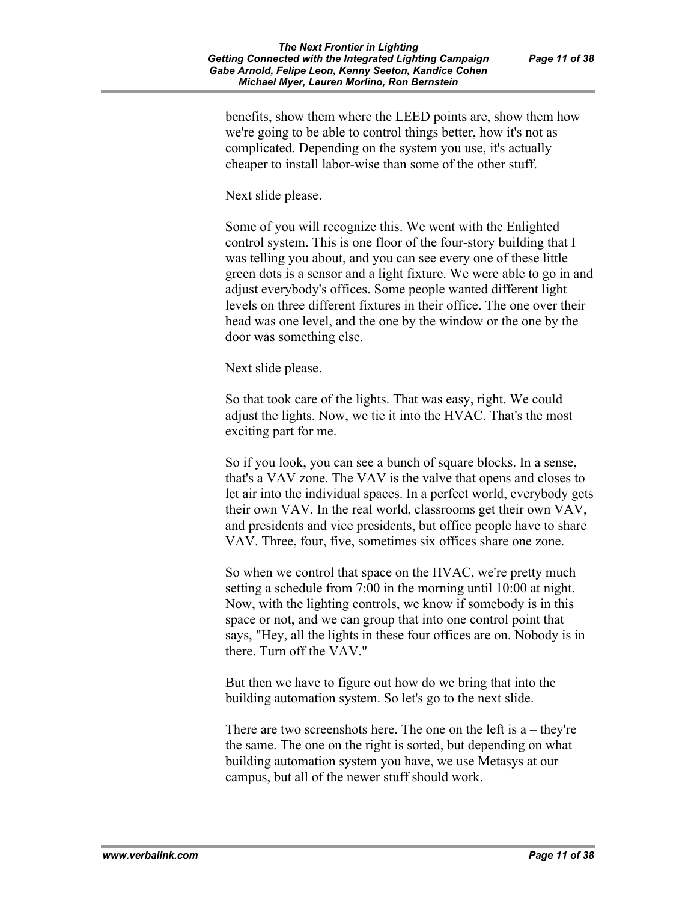benefits, show them where the LEED points are, show them how we're going to be able to control things better, how it's not as complicated. Depending on the system you use, it's actually cheaper to install labor-wise than some of the other stuff.

Next slide please.

Some of you will recognize this. We went with the Enlighted control system. This is one floor of the four-story building that I was telling you about, and you can see every one of these little green dots is a sensor and a light fixture. We were able to go in and adjust everybody's offices. Some people wanted different light levels on three different fixtures in their office. The one over their head was one level, and the one by the window or the one by the door was something else.

Next slide please.

So that took care of the lights. That was easy, right. We could adjust the lights. Now, we tie it into the HVAC. That's the most exciting part for me.

So if you look, you can see a bunch of square blocks. In a sense, that's a VAV zone. The VAV is the valve that opens and closes to let air into the individual spaces. In a perfect world, everybody gets their own VAV. In the real world, classrooms get their own VAV, and presidents and vice presidents, but office people have to share VAV. Three, four, five, sometimes six offices share one zone.

So when we control that space on the HVAC, we're pretty much setting a schedule from 7:00 in the morning until 10:00 at night. Now, with the lighting controls, we know if somebody is in this space or not, and we can group that into one control point that says, "Hey, all the lights in these four offices are on. Nobody is in there. Turn off the VAV."

But then we have to figure out how do we bring that into the building automation system. So let's go to the next slide.

There are two screenshots here. The one on the left is  $a$  – they're the same. The one on the right is sorted, but depending on what building automation system you have, we use Metasys at our campus, but all of the newer stuff should work.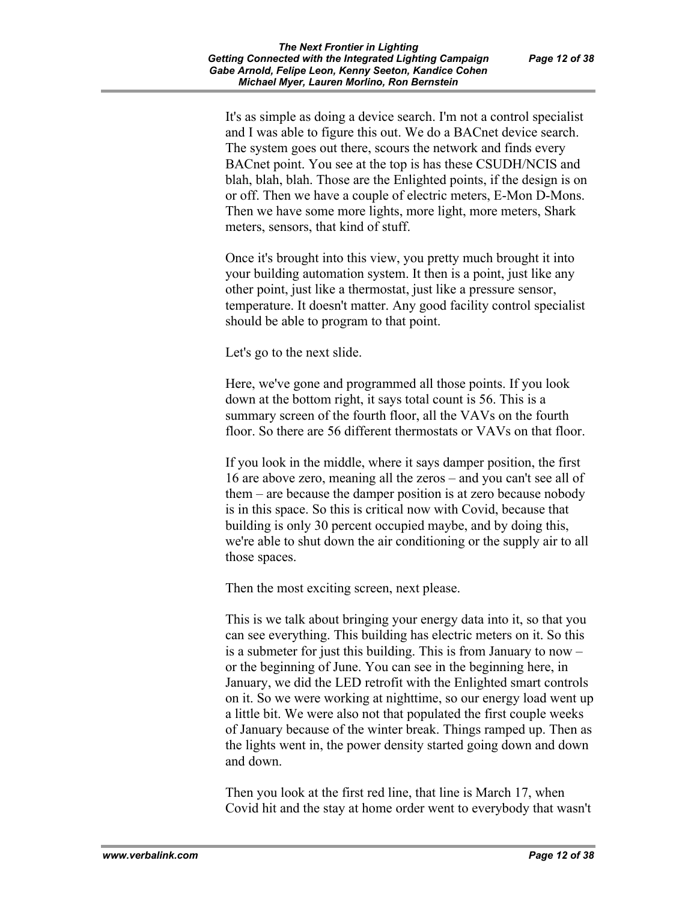It's as simple as doing a device search. I'm not a control specialist and I was able to figure this out. We do a BACnet device search. The system goes out there, scours the network and finds every BACnet point. You see at the top is has these CSUDH/NCIS and blah, blah, blah. Those are the Enlighted points, if the design is on or off. Then we have a couple of electric meters, E-Mon D-Mons. Then we have some more lights, more light, more meters, Shark meters, sensors, that kind of stuff.

Once it's brought into this view, you pretty much brought it into your building automation system. It then is a point, just like any other point, just like a thermostat, just like a pressure sensor, temperature. It doesn't matter. Any good facility control specialist should be able to program to that point.

Let's go to the next slide.

Here, we've gone and programmed all those points. If you look down at the bottom right, it says total count is 56. This is a summary screen of the fourth floor, all the VAVs on the fourth floor. So there are 56 different thermostats or VAVs on that floor.

If you look in the middle, where it says damper position, the first 16 are above zero, meaning all the zeros – and you can't see all of them – are because the damper position is at zero because nobody is in this space. So this is critical now with Covid, because that building is only 30 percent occupied maybe, and by doing this, we're able to shut down the air conditioning or the supply air to all those spaces.

Then the most exciting screen, next please.

This is we talk about bringing your energy data into it, so that you can see everything. This building has electric meters on it. So this is a submeter for just this building. This is from January to now – or the beginning of June. You can see in the beginning here, in January, we did the LED retrofit with the Enlighted smart controls on it. So we were working at nighttime, so our energy load went up a little bit. We were also not that populated the first couple weeks of January because of the winter break. Things ramped up. Then as the lights went in, the power density started going down and down and down.

Then you look at the first red line, that line is March 17, when Covid hit and the stay at home order went to everybody that wasn't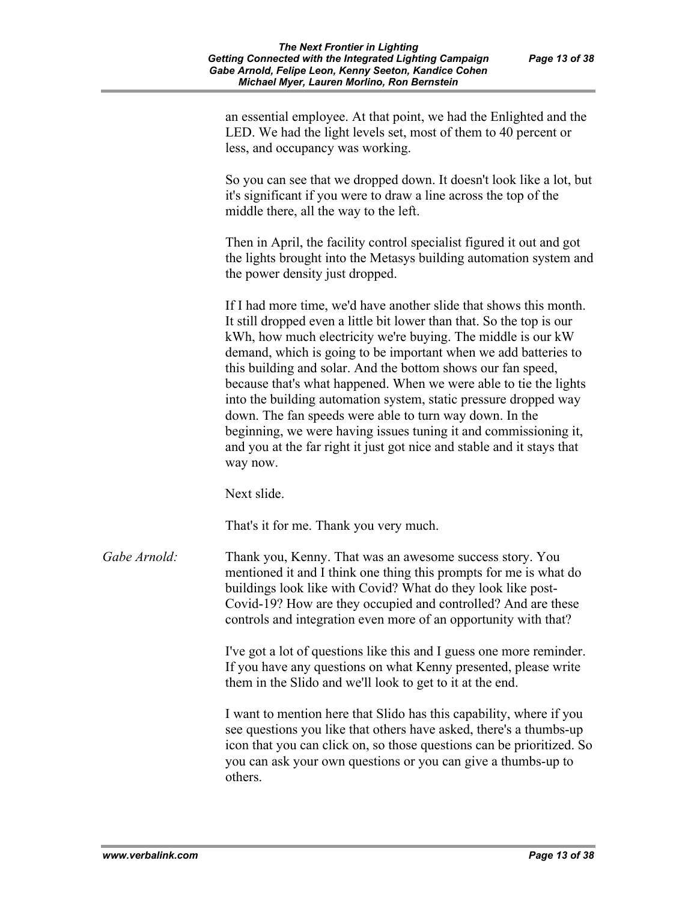an essential employee. At that point, we had the Enlighted and the LED. We had the light levels set, most of them to 40 percent or less, and occupancy was working.

So you can see that we dropped down. It doesn't look like a lot, but it's significant if you were to draw a line across the top of the middle there, all the way to the left.

Then in April, the facility control specialist figured it out and got the lights brought into the Metasys building automation system and the power density just dropped.

If I had more time, we'd have another slide that shows this month. It still dropped even a little bit lower than that. So the top is our kWh, how much electricity we're buying. The middle is our kW demand, which is going to be important when we add batteries to this building and solar. And the bottom shows our fan speed, because that's what happened. When we were able to tie the lights into the building automation system, static pressure dropped way down. The fan speeds were able to turn way down. In the beginning, we were having issues tuning it and commissioning it, and you at the far right it just got nice and stable and it stays that way now.

Next slide.

That's it for me. Thank you very much.

*Gabe Arnold:* Thank you, Kenny. That was an awesome success story. You mentioned it and I think one thing this prompts for me is what do buildings look like with Covid? What do they look like post-Covid-19? How are they occupied and controlled? And are these controls and integration even more of an opportunity with that?

> I've got a lot of questions like this and I guess one more reminder. If you have any questions on what Kenny presented, please write them in the Slido and we'll look to get to it at the end.

I want to mention here that Slido has this capability, where if you see questions you like that others have asked, there's a thumbs-up icon that you can click on, so those questions can be prioritized. So you can ask your own questions or you can give a thumbs-up to others.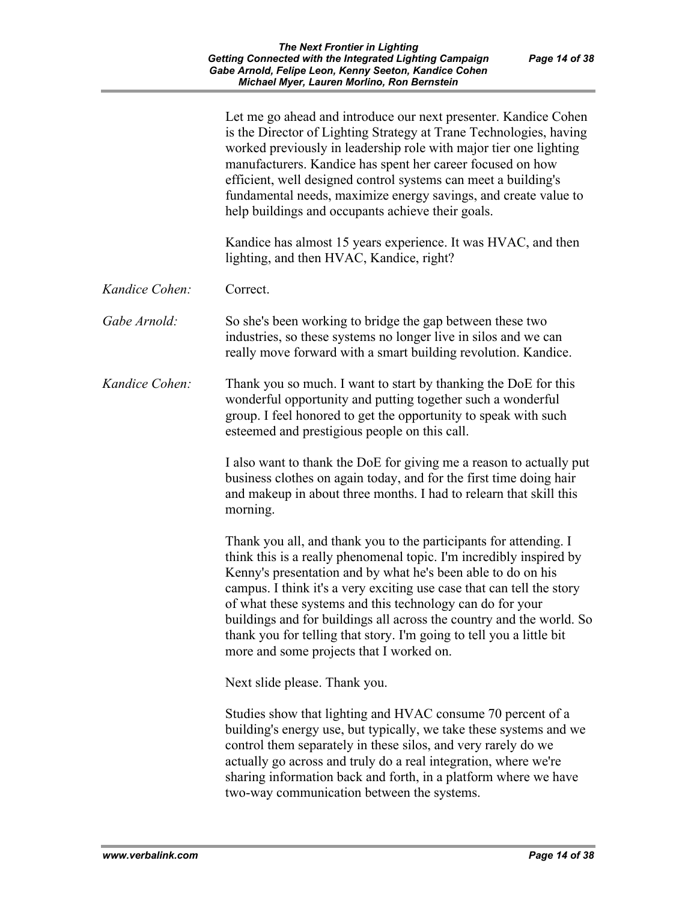|                | Let me go ahead and introduce our next presenter. Kandice Cohen<br>is the Director of Lighting Strategy at Trane Technologies, having<br>worked previously in leadership role with major tier one lighting<br>manufacturers. Kandice has spent her career focused on how<br>efficient, well designed control systems can meet a building's<br>fundamental needs, maximize energy savings, and create value to<br>help buildings and occupants achieve their goals.                                                                         |
|----------------|--------------------------------------------------------------------------------------------------------------------------------------------------------------------------------------------------------------------------------------------------------------------------------------------------------------------------------------------------------------------------------------------------------------------------------------------------------------------------------------------------------------------------------------------|
|                | Kandice has almost 15 years experience. It was HVAC, and then<br>lighting, and then HVAC, Kandice, right?                                                                                                                                                                                                                                                                                                                                                                                                                                  |
| Kandice Cohen: | Correct.                                                                                                                                                                                                                                                                                                                                                                                                                                                                                                                                   |
| Gabe Arnold:   | So she's been working to bridge the gap between these two<br>industries, so these systems no longer live in silos and we can<br>really move forward with a smart building revolution. Kandice.                                                                                                                                                                                                                                                                                                                                             |
| Kandice Cohen: | Thank you so much. I want to start by thanking the DoE for this<br>wonderful opportunity and putting together such a wonderful<br>group. I feel honored to get the opportunity to speak with such<br>esteemed and prestigious people on this call.                                                                                                                                                                                                                                                                                         |
|                | I also want to thank the DoE for giving me a reason to actually put<br>business clothes on again today, and for the first time doing hair<br>and makeup in about three months. I had to relearn that skill this<br>morning.                                                                                                                                                                                                                                                                                                                |
|                | Thank you all, and thank you to the participants for attending. I<br>think this is a really phenomenal topic. I'm incredibly inspired by<br>Kenny's presentation and by what he's been able to do on his<br>campus. I think it's a very exciting use case that can tell the story<br>of what these systems and this technology can do for your<br>buildings and for buildings all across the country and the world. So<br>thank you for telling that story. I'm going to tell you a little bit<br>more and some projects that I worked on. |
|                | Next slide please. Thank you.                                                                                                                                                                                                                                                                                                                                                                                                                                                                                                              |
|                | Studies show that lighting and HVAC consume 70 percent of a<br>building's energy use, but typically, we take these systems and we<br>control them separately in these silos, and very rarely do we<br>actually go across and truly do a real integration, where we're<br>sharing information back and forth, in a platform where we have<br>two-way communication between the systems.                                                                                                                                                     |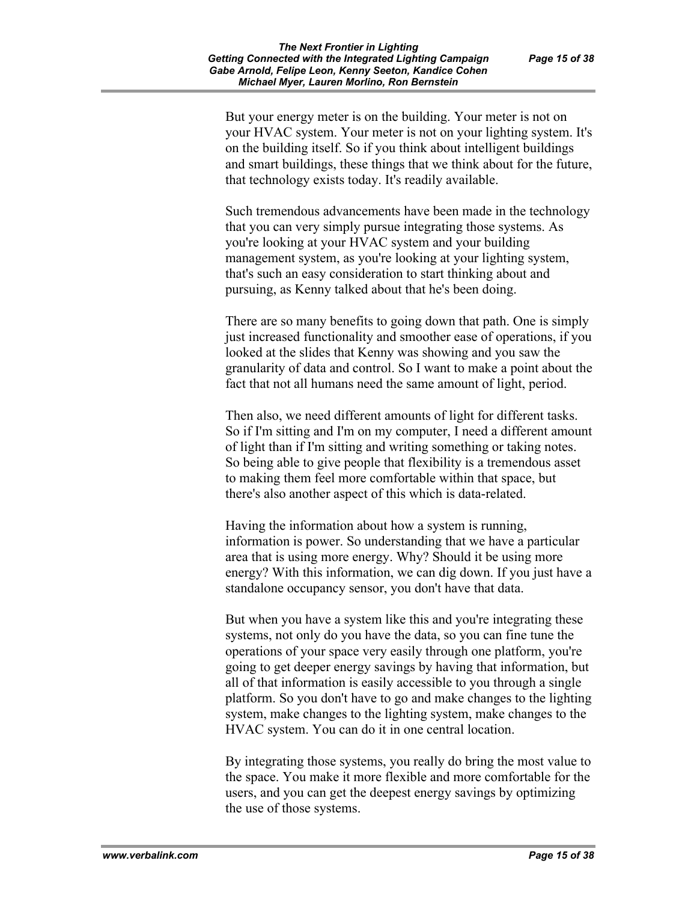But your energy meter is on the building. Your meter is not on your HVAC system. Your meter is not on your lighting system. It's on the building itself. So if you think about intelligent buildings and smart buildings, these things that we think about for the future, that technology exists today. It's readily available.

Such tremendous advancements have been made in the technology that you can very simply pursue integrating those systems. As you're looking at your HVAC system and your building management system, as you're looking at your lighting system, that's such an easy consideration to start thinking about and pursuing, as Kenny talked about that he's been doing.

There are so many benefits to going down that path. One is simply just increased functionality and smoother ease of operations, if you looked at the slides that Kenny was showing and you saw the granularity of data and control. So I want to make a point about the fact that not all humans need the same amount of light, period.

Then also, we need different amounts of light for different tasks. So if I'm sitting and I'm on my computer, I need a different amount of light than if I'm sitting and writing something or taking notes. So being able to give people that flexibility is a tremendous asset to making them feel more comfortable within that space, but there's also another aspect of this which is data-related.

Having the information about how a system is running, information is power. So understanding that we have a particular area that is using more energy. Why? Should it be using more energy? With this information, we can dig down. If you just have a standalone occupancy sensor, you don't have that data.

But when you have a system like this and you're integrating these systems, not only do you have the data, so you can fine tune the operations of your space very easily through one platform, you're going to get deeper energy savings by having that information, but all of that information is easily accessible to you through a single platform. So you don't have to go and make changes to the lighting system, make changes to the lighting system, make changes to the HVAC system. You can do it in one central location.

By integrating those systems, you really do bring the most value to the space. You make it more flexible and more comfortable for the users, and you can get the deepest energy savings by optimizing the use of those systems.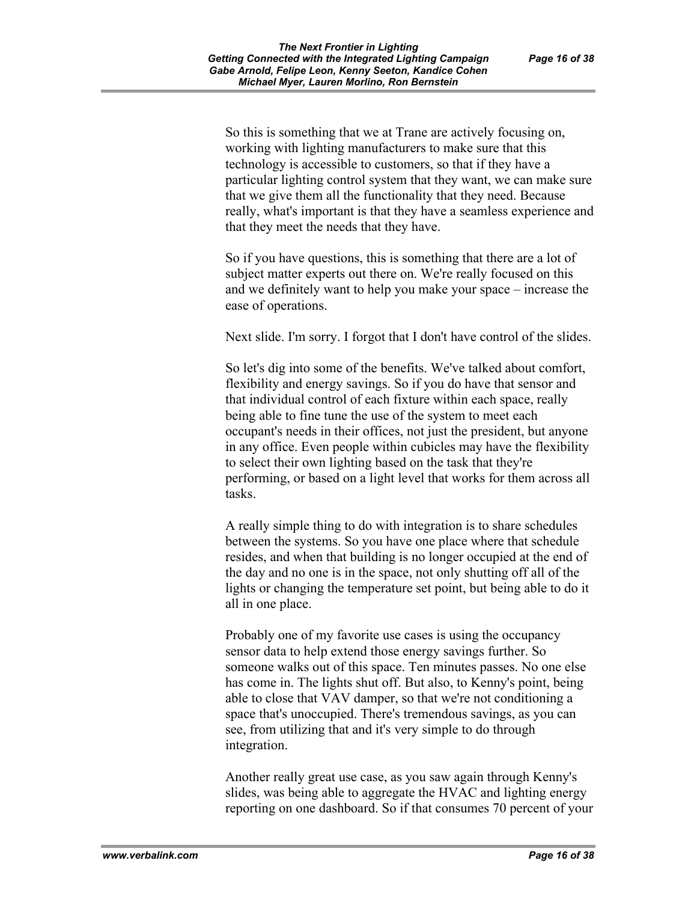So this is something that we at Trane are actively focusing on, working with lighting manufacturers to make sure that this technology is accessible to customers, so that if they have a particular lighting control system that they want, we can make sure that we give them all the functionality that they need. Because really, what's important is that they have a seamless experience and that they meet the needs that they have.

So if you have questions, this is something that there are a lot of subject matter experts out there on. We're really focused on this and we definitely want to help you make your space – increase the ease of operations.

Next slide. I'm sorry. I forgot that I don't have control of the slides.

So let's dig into some of the benefits. We've talked about comfort, flexibility and energy savings. So if you do have that sensor and that individual control of each fixture within each space, really being able to fine tune the use of the system to meet each occupant's needs in their offices, not just the president, but anyone in any office. Even people within cubicles may have the flexibility to select their own lighting based on the task that they're performing, or based on a light level that works for them across all tasks.

A really simple thing to do with integration is to share schedules between the systems. So you have one place where that schedule resides, and when that building is no longer occupied at the end of the day and no one is in the space, not only shutting off all of the lights or changing the temperature set point, but being able to do it all in one place.

Probably one of my favorite use cases is using the occupancy sensor data to help extend those energy savings further. So someone walks out of this space. Ten minutes passes. No one else has come in. The lights shut off. But also, to Kenny's point, being able to close that VAV damper, so that we're not conditioning a space that's unoccupied. There's tremendous savings, as you can see, from utilizing that and it's very simple to do through integration.

Another really great use case, as you saw again through Kenny's slides, was being able to aggregate the HVAC and lighting energy reporting on one dashboard. So if that consumes 70 percent of your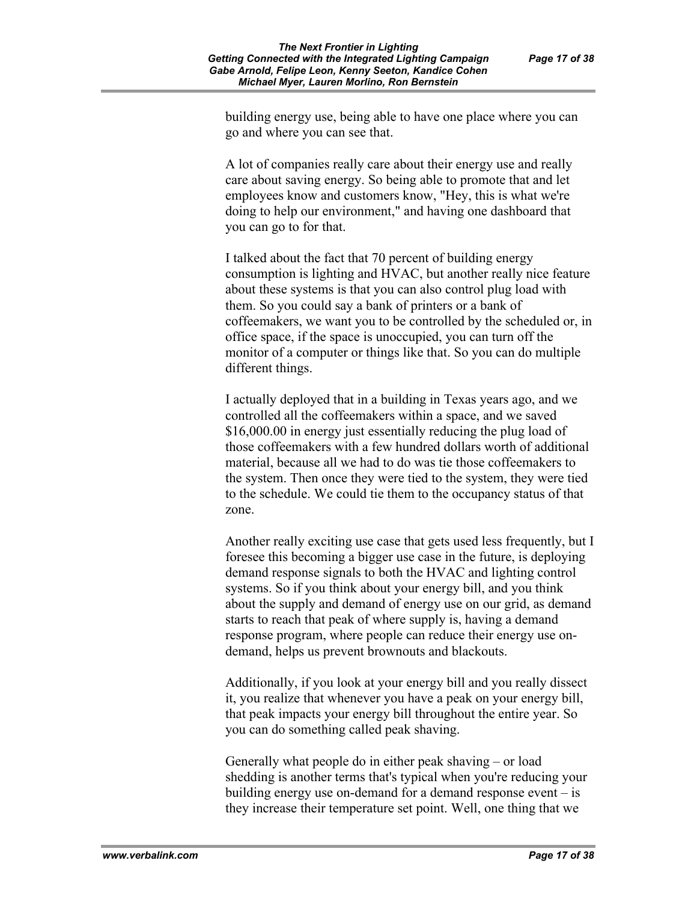building energy use, being able to have one place where you can go and where you can see that.

A lot of companies really care about their energy use and really care about saving energy. So being able to promote that and let employees know and customers know, "Hey, this is what we're doing to help our environment," and having one dashboard that you can go to for that.

I talked about the fact that 70 percent of building energy consumption is lighting and HVAC, but another really nice feature about these systems is that you can also control plug load with them. So you could say a bank of printers or a bank of coffeemakers, we want you to be controlled by the scheduled or, in office space, if the space is unoccupied, you can turn off the monitor of a computer or things like that. So you can do multiple different things.

I actually deployed that in a building in Texas years ago, and we controlled all the coffeemakers within a space, and we saved \$16,000.00 in energy just essentially reducing the plug load of those coffeemakers with a few hundred dollars worth of additional material, because all we had to do was tie those coffeemakers to the system. Then once they were tied to the system, they were tied to the schedule. We could tie them to the occupancy status of that zone.

Another really exciting use case that gets used less frequently, but I foresee this becoming a bigger use case in the future, is deploying demand response signals to both the HVAC and lighting control systems. So if you think about your energy bill, and you think about the supply and demand of energy use on our grid, as demand starts to reach that peak of where supply is, having a demand response program, where people can reduce their energy use ondemand, helps us prevent brownouts and blackouts.

Additionally, if you look at your energy bill and you really dissect it, you realize that whenever you have a peak on your energy bill, that peak impacts your energy bill throughout the entire year. So you can do something called peak shaving.

Generally what people do in either peak shaving – or load shedding is another terms that's typical when you're reducing your building energy use on-demand for a demand response event  $-\text{ is}$ they increase their temperature set point. Well, one thing that we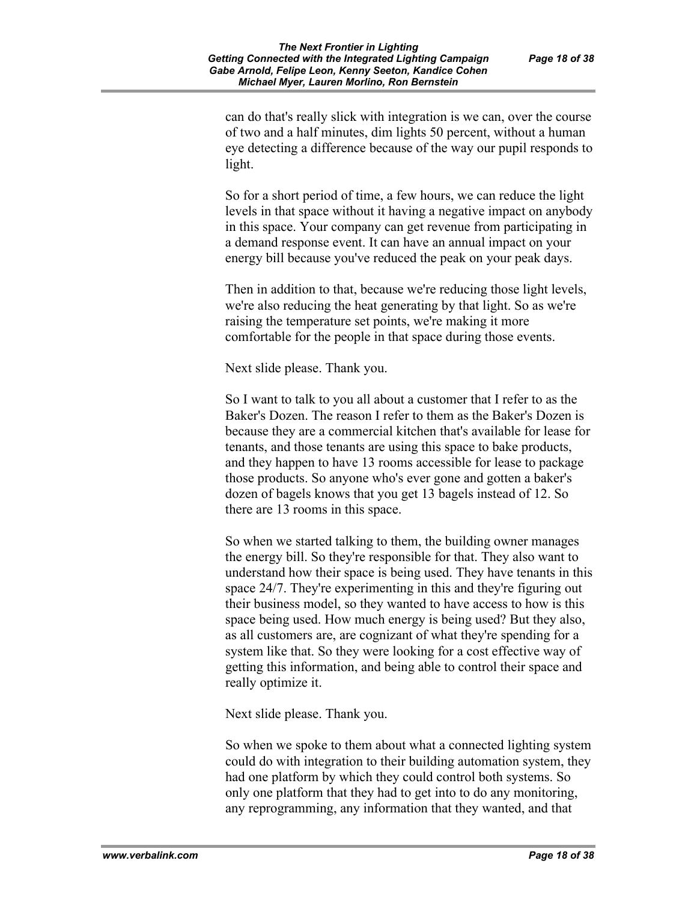can do that's really slick with integration is we can, over the course of two and a half minutes, dim lights 50 percent, without a human eye detecting a difference because of the way our pupil responds to light.

So for a short period of time, a few hours, we can reduce the light levels in that space without it having a negative impact on anybody in this space. Your company can get revenue from participating in a demand response event. It can have an annual impact on your energy bill because you've reduced the peak on your peak days.

Then in addition to that, because we're reducing those light levels, we're also reducing the heat generating by that light. So as we're raising the temperature set points, we're making it more comfortable for the people in that space during those events.

Next slide please. Thank you.

So I want to talk to you all about a customer that I refer to as the Baker's Dozen. The reason I refer to them as the Baker's Dozen is because they are a commercial kitchen that's available for lease for tenants, and those tenants are using this space to bake products, and they happen to have 13 rooms accessible for lease to package those products. So anyone who's ever gone and gotten a baker's dozen of bagels knows that you get 13 bagels instead of 12. So there are 13 rooms in this space.

So when we started talking to them, the building owner manages the energy bill. So they're responsible for that. They also want to understand how their space is being used. They have tenants in this space 24/7. They're experimenting in this and they're figuring out their business model, so they wanted to have access to how is this space being used. How much energy is being used? But they also, as all customers are, are cognizant of what they're spending for a system like that. So they were looking for a cost effective way of getting this information, and being able to control their space and really optimize it.

Next slide please. Thank you.

So when we spoke to them about what a connected lighting system could do with integration to their building automation system, they had one platform by which they could control both systems. So only one platform that they had to get into to do any monitoring, any reprogramming, any information that they wanted, and that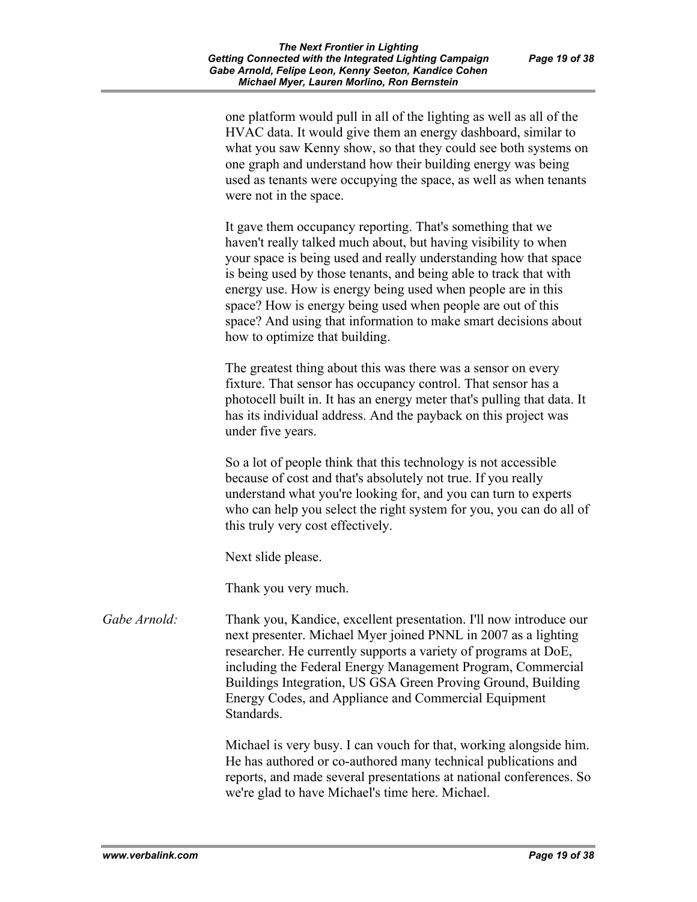one platform would pull in all of the lighting as well as all of the HVAC data. It would give them an energy dashboard, similar to what you saw Kenny show, so that they could see both systems on one graph and understand how their building energy was being used as tenants were occupying the space, as well as when tenants were not in the space.

It gave them occupancy reporting. That's something that we haven't really talked much about, but having visibility to when your space is being used and really understanding how that space is being used by those tenants, and being able to track that with energy use. How is energy being used when people are in this space? How is energy being used when people are out of this space? And using that information to make smart decisions about how to optimize that building.

The greatest thing about this was there was a sensor on every fixture. That sensor has occupancy control. That sensor has a photocell built in. It has an energy meter that's pulling that data. It has its individual address. And the payback on this project was under five years.

So a lot of people think that this technology is not accessible because of cost and that's absolutely not true. If you really understand what you're looking for, and you can turn to experts who can help you select the right system for you, you can do all of this truly very cost effectively.

Next slide please.

Thank you very much.

*Gabe Arnold:* Thank you, Kandice, excellent presentation. I'll now introduce our next presenter. Michael Myer joined PNNL in 2007 as a lighting researcher. He currently supports a variety of programs at DoE, including the Federal Energy Management Program, Commercial Buildings Integration, US GSA Green Proving Ground, Building Energy Codes, and Appliance and Commercial Equipment Standards.

> Michael is very busy. I can vouch for that, working alongside him. He has authored or co-authored many technical publications and reports, and made several presentations at national conferences. So we're glad to have Michael's time here. Michael.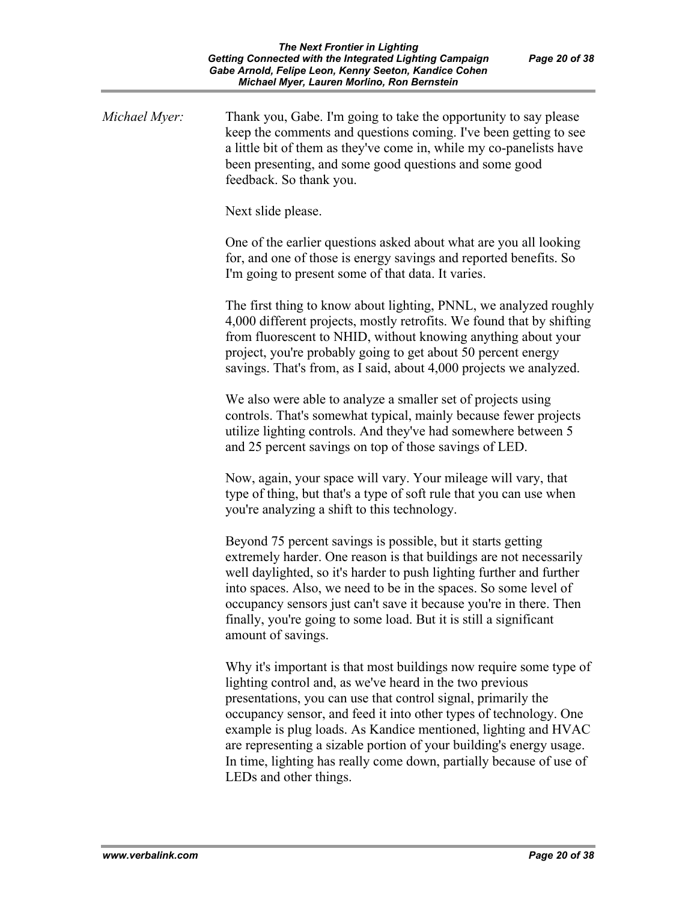| Michael Myer: | Thank you, Gabe. I'm going to take the opportunity to say please<br>keep the comments and questions coming. I've been getting to see<br>a little bit of them as they've come in, while my co-panelists have<br>been presenting, and some good questions and some good<br>feedback. So thank you.                                                                                                                                                                                                               |
|---------------|----------------------------------------------------------------------------------------------------------------------------------------------------------------------------------------------------------------------------------------------------------------------------------------------------------------------------------------------------------------------------------------------------------------------------------------------------------------------------------------------------------------|
|               | Next slide please.                                                                                                                                                                                                                                                                                                                                                                                                                                                                                             |
|               | One of the earlier questions asked about what are you all looking<br>for, and one of those is energy savings and reported benefits. So<br>I'm going to present some of that data. It varies.                                                                                                                                                                                                                                                                                                                   |
|               | The first thing to know about lighting, PNNL, we analyzed roughly<br>4,000 different projects, mostly retrofits. We found that by shifting<br>from fluorescent to NHID, without knowing anything about your<br>project, you're probably going to get about 50 percent energy<br>savings. That's from, as I said, about 4,000 projects we analyzed.                                                                                                                                                             |
|               | We also were able to analyze a smaller set of projects using<br>controls. That's somewhat typical, mainly because fewer projects<br>utilize lighting controls. And they've had somewhere between 5<br>and 25 percent savings on top of those savings of LED.                                                                                                                                                                                                                                                   |
|               | Now, again, your space will vary. Your mileage will vary, that<br>type of thing, but that's a type of soft rule that you can use when<br>you're analyzing a shift to this technology.                                                                                                                                                                                                                                                                                                                          |
|               | Beyond 75 percent savings is possible, but it starts getting<br>extremely harder. One reason is that buildings are not necessarily<br>well daylighted, so it's harder to push lighting further and further<br>into spaces. Also, we need to be in the spaces. So some level of<br>occupancy sensors just can't save it because you're in there. Then<br>finally, you're going to some load. But it is still a significant<br>amount of savings.                                                                |
|               | Why it's important is that most buildings now require some type of<br>lighting control and, as we've heard in the two previous<br>presentations, you can use that control signal, primarily the<br>occupancy sensor, and feed it into other types of technology. One<br>example is plug loads. As Kandice mentioned, lighting and HVAC<br>are representing a sizable portion of your building's energy usage.<br>In time, lighting has really come down, partially because of use of<br>LEDs and other things. |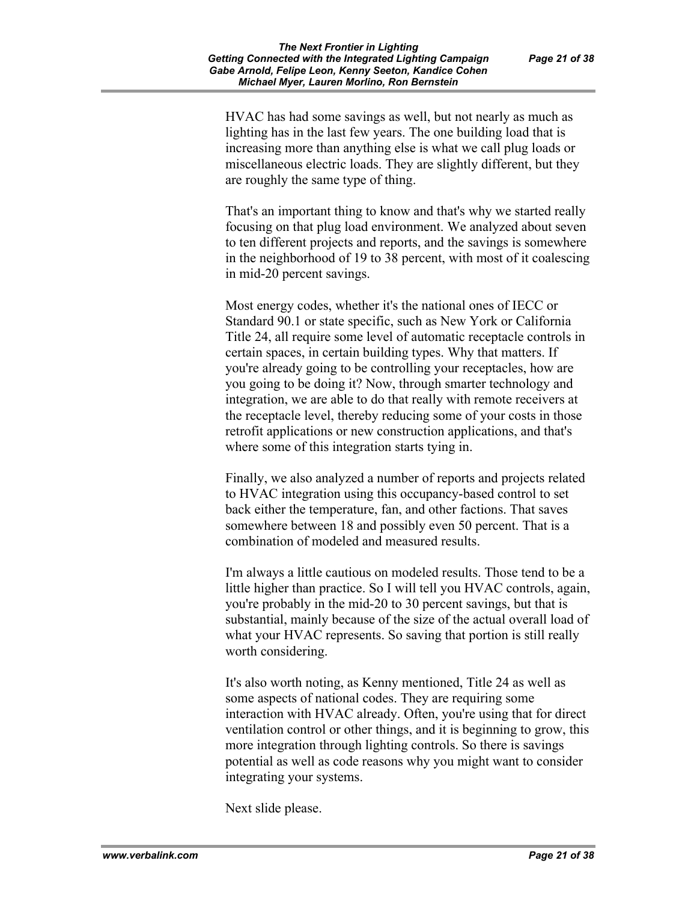HVAC has had some savings as well, but not nearly as much as lighting has in the last few years. The one building load that is increasing more than anything else is what we call plug loads or miscellaneous electric loads. They are slightly different, but they are roughly the same type of thing.

That's an important thing to know and that's why we started really focusing on that plug load environment. We analyzed about seven to ten different projects and reports, and the savings is somewhere in the neighborhood of 19 to 38 percent, with most of it coalescing in mid-20 percent savings.

Most energy codes, whether it's the national ones of IECC or Standard 90.1 or state specific, such as New York or California Title 24, all require some level of automatic receptacle controls in certain spaces, in certain building types. Why that matters. If you're already going to be controlling your receptacles, how are you going to be doing it? Now, through smarter technology and integration, we are able to do that really with remote receivers at the receptacle level, thereby reducing some of your costs in those retrofit applications or new construction applications, and that's where some of this integration starts tying in.

Finally, we also analyzed a number of reports and projects related to HVAC integration using this occupancy-based control to set back either the temperature, fan, and other factions. That saves somewhere between 18 and possibly even 50 percent. That is a combination of modeled and measured results.

I'm always a little cautious on modeled results. Those tend to be a little higher than practice. So I will tell you HVAC controls, again, you're probably in the mid-20 to 30 percent savings, but that is substantial, mainly because of the size of the actual overall load of what your HVAC represents. So saving that portion is still really worth considering.

It's also worth noting, as Kenny mentioned, Title 24 as well as some aspects of national codes. They are requiring some interaction with HVAC already. Often, you're using that for direct ventilation control or other things, and it is beginning to grow, this more integration through lighting controls. So there is savings potential as well as code reasons why you might want to consider integrating your systems.

Next slide please.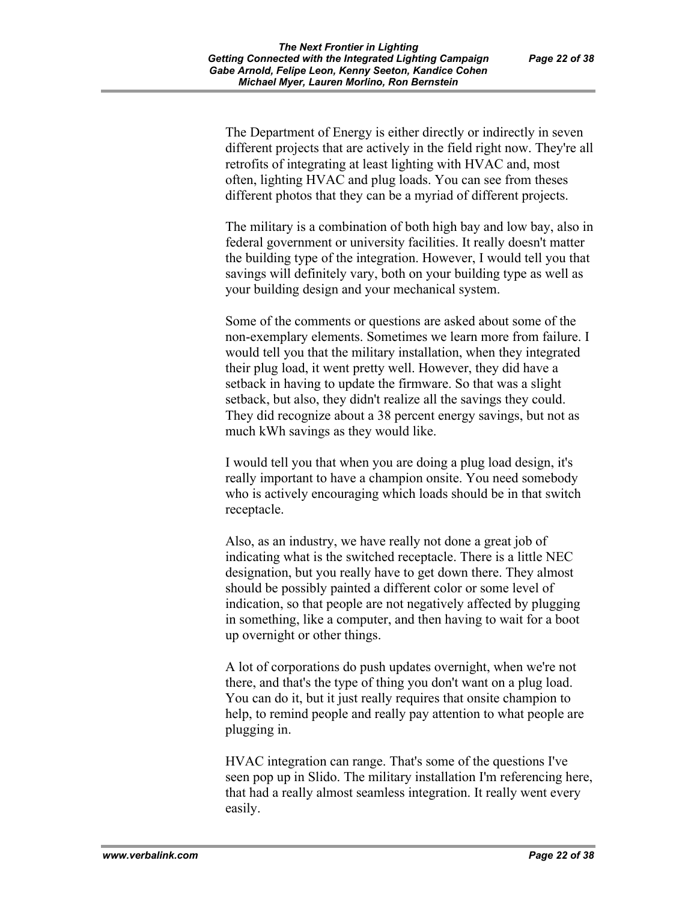The Department of Energy is either directly or indirectly in seven different projects that are actively in the field right now. They're all retrofits of integrating at least lighting with HVAC and, most often, lighting HVAC and plug loads. You can see from theses different photos that they can be a myriad of different projects.

The military is a combination of both high bay and low bay, also in federal government or university facilities. It really doesn't matter the building type of the integration. However, I would tell you that savings will definitely vary, both on your building type as well as your building design and your mechanical system.

Some of the comments or questions are asked about some of the non-exemplary elements. Sometimes we learn more from failure. I would tell you that the military installation, when they integrated their plug load, it went pretty well. However, they did have a setback in having to update the firmware. So that was a slight setback, but also, they didn't realize all the savings they could. They did recognize about a 38 percent energy savings, but not as much kWh savings as they would like.

I would tell you that when you are doing a plug load design, it's really important to have a champion onsite. You need somebody who is actively encouraging which loads should be in that switch receptacle.

Also, as an industry, we have really not done a great job of indicating what is the switched receptacle. There is a little NEC designation, but you really have to get down there. They almost should be possibly painted a different color or some level of indication, so that people are not negatively affected by plugging in something, like a computer, and then having to wait for a boot up overnight or other things.

A lot of corporations do push updates overnight, when we're not there, and that's the type of thing you don't want on a plug load. You can do it, but it just really requires that onsite champion to help, to remind people and really pay attention to what people are plugging in.

HVAC integration can range. That's some of the questions I've seen pop up in Slido. The military installation I'm referencing here, that had a really almost seamless integration. It really went every easily.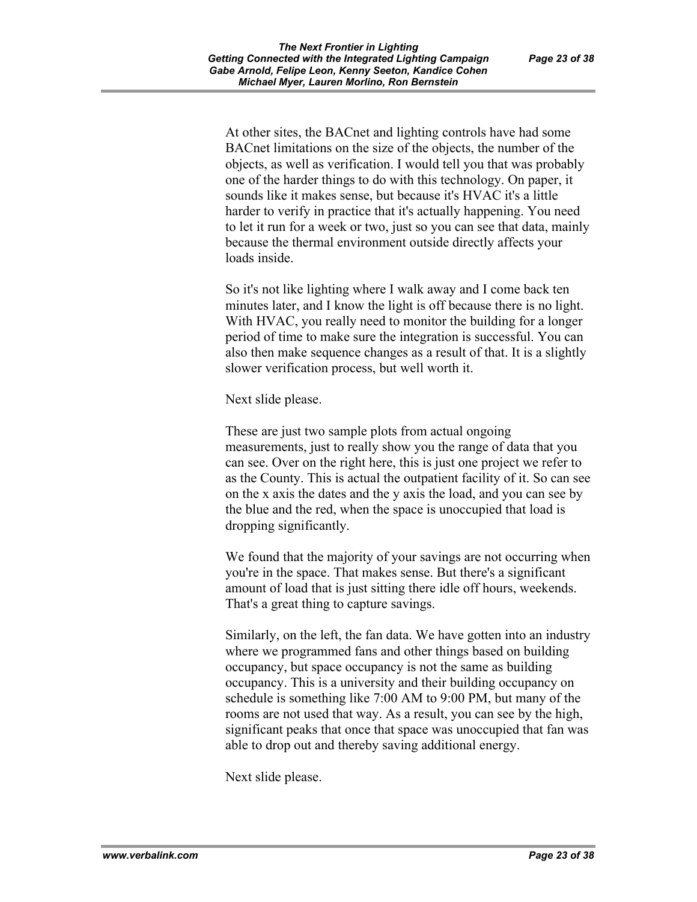At other sites, the BACnet and lighting controls have had some BACnet limitations on the size of the objects, the number of the objects, as well as verification. I would tell you that was probably one of the harder things to do with this technology. On paper, it sounds like it makes sense, but because it's HVAC it's a little harder to verify in practice that it's actually happening. You need to let it run for a week or two, just so you can see that data, mainly because the thermal environment outside directly affects your loads inside.

So it's not like lighting where I walk away and I come back ten minutes later, and I know the light is off because there is no light. With HVAC, you really need to monitor the building for a longer period of time to make sure the integration is successful. You can also then make sequence changes as a result of that. It is a slightly slower verification process, but well worth it.

Next slide please.

These are just two sample plots from actual ongoing measurements, just to really show you the range of data that you can see. Over on the right here, this is just one project we refer to as the County. This is actual the outpatient facility of it. So can see on the x axis the dates and the y axis the load, and you can see by the blue and the red, when the space is unoccupied that load is dropping significantly.

We found that the majority of your savings are not occurring when you're in the space. That makes sense. But there's a significant amount of load that is just sitting there idle off hours, weekends. That's a great thing to capture savings.

Similarly, on the left, the fan data. We have gotten into an industry where we programmed fans and other things based on building occupancy, but space occupancy is not the same as building occupancy. This is a university and their building occupancy on schedule is something like 7:00 AM to 9:00 PM, but many of the rooms are not used that way. As a result, you can see by the high, significant peaks that once that space was unoccupied that fan was able to drop out and thereby saving additional energy.

Next slide please.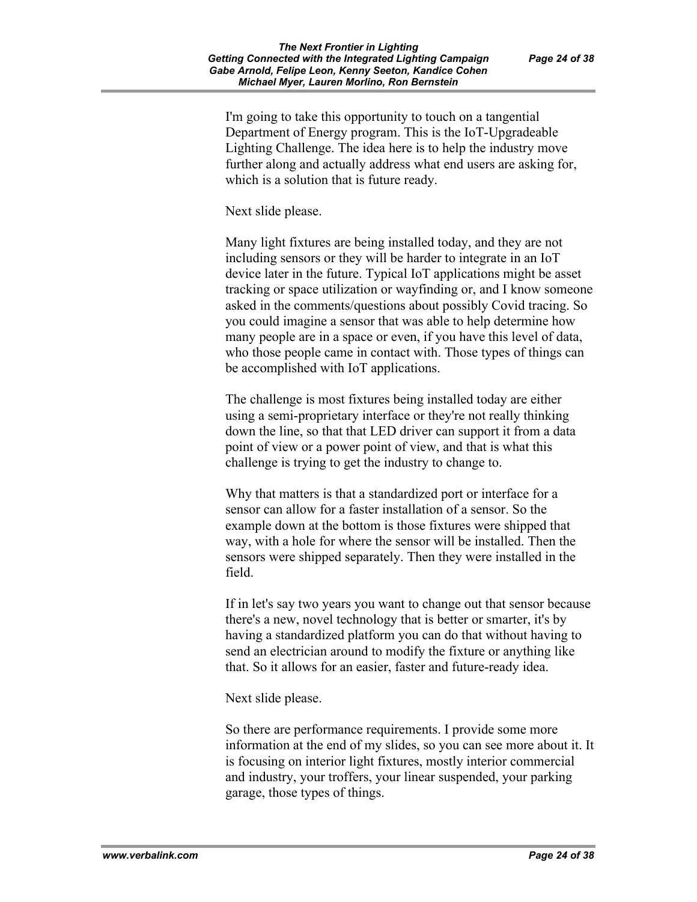I'm going to take this opportunity to touch on a tangential Department of Energy program. This is the IoT-Upgradeable Lighting Challenge. The idea here is to help the industry move further along and actually address what end users are asking for, which is a solution that is future ready.

Next slide please.

Many light fixtures are being installed today, and they are not including sensors or they will be harder to integrate in an IoT device later in the future. Typical IoT applications might be asset tracking or space utilization or wayfinding or, and I know someone asked in the comments/questions about possibly Covid tracing. So you could imagine a sensor that was able to help determine how many people are in a space or even, if you have this level of data, who those people came in contact with. Those types of things can be accomplished with IoT applications.

The challenge is most fixtures being installed today are either using a semi-proprietary interface or they're not really thinking down the line, so that that LED driver can support it from a data point of view or a power point of view, and that is what this challenge is trying to get the industry to change to.

Why that matters is that a standardized port or interface for a sensor can allow for a faster installation of a sensor. So the example down at the bottom is those fixtures were shipped that way, with a hole for where the sensor will be installed. Then the sensors were shipped separately. Then they were installed in the field.

If in let's say two years you want to change out that sensor because there's a new, novel technology that is better or smarter, it's by having a standardized platform you can do that without having to send an electrician around to modify the fixture or anything like that. So it allows for an easier, faster and future-ready idea.

Next slide please.

So there are performance requirements. I provide some more information at the end of my slides, so you can see more about it. It is focusing on interior light fixtures, mostly interior commercial and industry, your troffers, your linear suspended, your parking garage, those types of things.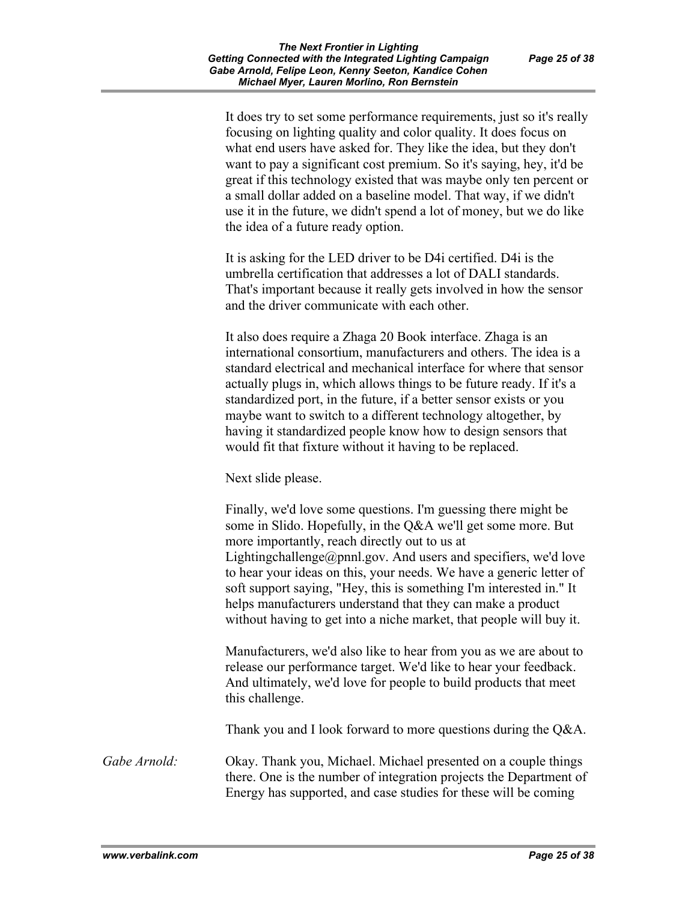It does try to set some performance requirements, just so it's really focusing on lighting quality and color quality. It does focus on what end users have asked for. They like the idea, but they don't want to pay a significant cost premium. So it's saying, hey, it'd be great if this technology existed that was maybe only ten percent or a small dollar added on a baseline model. That way, if we didn't use it in the future, we didn't spend a lot of money, but we do like the idea of a future ready option.

It is asking for the LED driver to be D4i certified. D4i is the umbrella certification that addresses a lot of DALI standards. That's important because it really gets involved in how the sensor and the driver communicate with each other.

It also does require a Zhaga 20 Book interface. Zhaga is an international consortium, manufacturers and others. The idea is a standard electrical and mechanical interface for where that sensor actually plugs in, which allows things to be future ready. If it's a standardized port, in the future, if a better sensor exists or you maybe want to switch to a different technology altogether, by having it standardized people know how to design sensors that would fit that fixture without it having to be replaced.

Next slide please.

Finally, we'd love some questions. I'm guessing there might be some in Slido. Hopefully, in the Q&A we'll get some more. But more importantly, reach directly out to us at Lightingchallenge@pnnl.gov. And users and specifiers, we'd love to hear your ideas on this, your needs. We have a generic letter of soft support saying, "Hey, this is something I'm interested in." It helps manufacturers understand that they can make a product without having to get into a niche market, that people will buy it.

Manufacturers, we'd also like to hear from you as we are about to release our performance target. We'd like to hear your feedback. And ultimately, we'd love for people to build products that meet this challenge.

Thank you and I look forward to more questions during the Q&A.

*Gabe Arnold:* Okay. Thank you, Michael. Michael presented on a couple things there. One is the number of integration projects the Department of Energy has supported, and case studies for these will be coming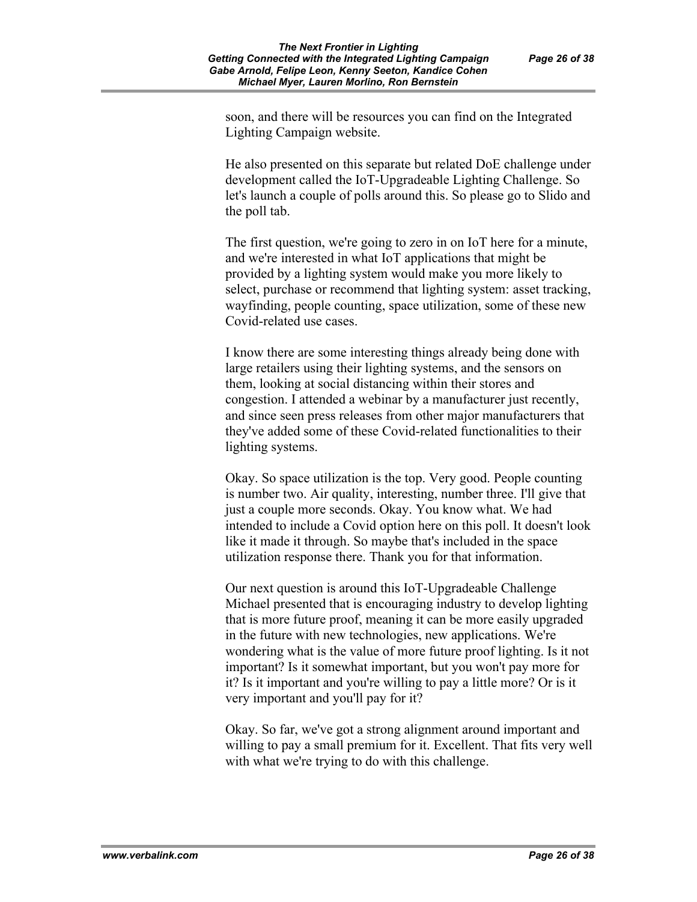soon, and there will be resources you can find on the Integrated Lighting Campaign website.

He also presented on this separate but related DoE challenge under development called the IoT-Upgradeable Lighting Challenge. So let's launch a couple of polls around this. So please go to Slido and the poll tab.

The first question, we're going to zero in on IoT here for a minute, and we're interested in what IoT applications that might be provided by a lighting system would make you more likely to select, purchase or recommend that lighting system: asset tracking, wayfinding, people counting, space utilization, some of these new Covid-related use cases.

I know there are some interesting things already being done with large retailers using their lighting systems, and the sensors on them, looking at social distancing within their stores and congestion. I attended a webinar by a manufacturer just recently, and since seen press releases from other major manufacturers that they've added some of these Covid-related functionalities to their lighting systems.

Okay. So space utilization is the top. Very good. People counting is number two. Air quality, interesting, number three. I'll give that just a couple more seconds. Okay. You know what. We had intended to include a Covid option here on this poll. It doesn't look like it made it through. So maybe that's included in the space utilization response there. Thank you for that information.

Our next question is around this IoT-Upgradeable Challenge Michael presented that is encouraging industry to develop lighting that is more future proof, meaning it can be more easily upgraded in the future with new technologies, new applications. We're wondering what is the value of more future proof lighting. Is it not important? Is it somewhat important, but you won't pay more for it? Is it important and you're willing to pay a little more? Or is it very important and you'll pay for it?

Okay. So far, we've got a strong alignment around important and willing to pay a small premium for it. Excellent. That fits very well with what we're trying to do with this challenge.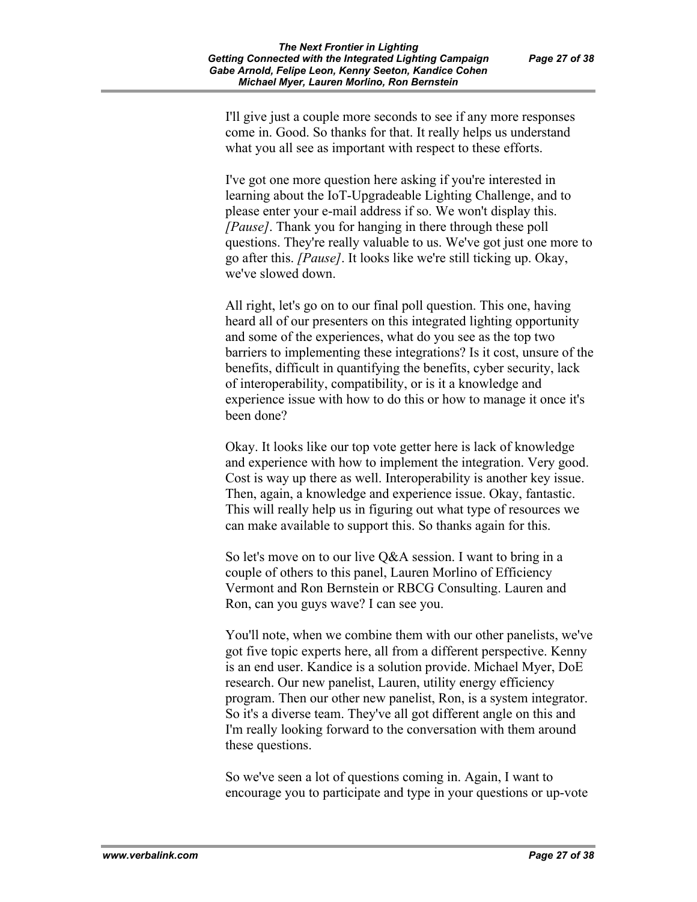I'll give just a couple more seconds to see if any more responses come in. Good. So thanks for that. It really helps us understand what you all see as important with respect to these efforts.

I've got one more question here asking if you're interested in learning about the IoT-Upgradeable Lighting Challenge, and to please enter your e-mail address if so. We won't display this. *[Pause]*. Thank you for hanging in there through these poll questions. They're really valuable to us. We've got just one more to go after this. *[Pause]*. It looks like we're still ticking up. Okay, we've slowed down.

All right, let's go on to our final poll question. This one, having heard all of our presenters on this integrated lighting opportunity and some of the experiences, what do you see as the top two barriers to implementing these integrations? Is it cost, unsure of the benefits, difficult in quantifying the benefits, cyber security, lack of interoperability, compatibility, or is it a knowledge and experience issue with how to do this or how to manage it once it's been done?

Okay. It looks like our top vote getter here is lack of knowledge and experience with how to implement the integration. Very good. Cost is way up there as well. Interoperability is another key issue. Then, again, a knowledge and experience issue. Okay, fantastic. This will really help us in figuring out what type of resources we can make available to support this. So thanks again for this.

So let's move on to our live Q&A session. I want to bring in a couple of others to this panel, Lauren Morlino of Efficiency Vermont and Ron Bernstein or RBCG Consulting. Lauren and Ron, can you guys wave? I can see you.

You'll note, when we combine them with our other panelists, we've got five topic experts here, all from a different perspective. Kenny is an end user. Kandice is a solution provide. Michael Myer, DoE research. Our new panelist, Lauren, utility energy efficiency program. Then our other new panelist, Ron, is a system integrator. So it's a diverse team. They've all got different angle on this and I'm really looking forward to the conversation with them around these questions.

So we've seen a lot of questions coming in. Again, I want to encourage you to participate and type in your questions or up-vote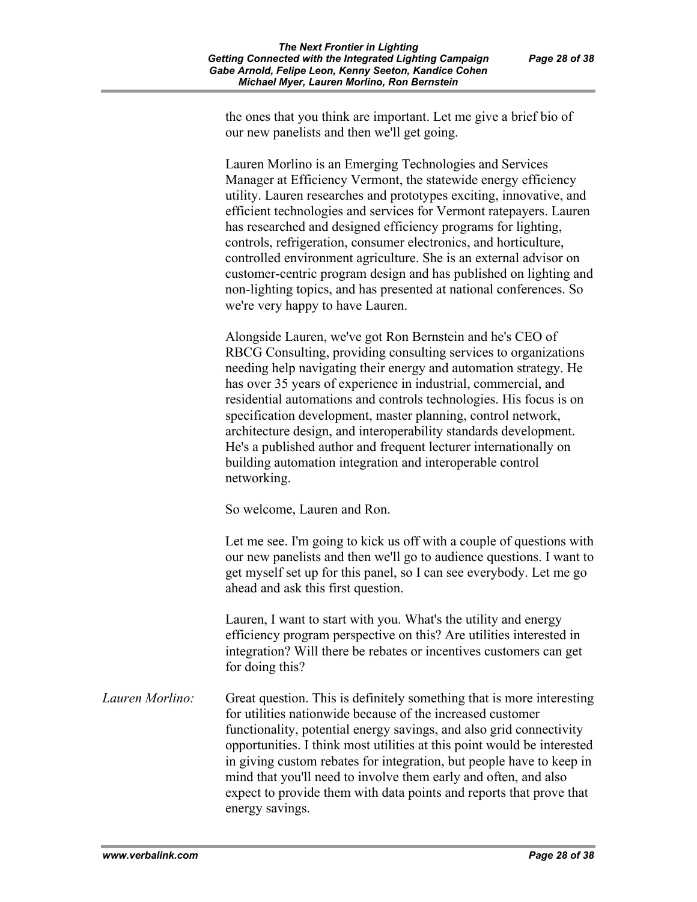the ones that you think are important. Let me give a brief bio of our new panelists and then we'll get going.

Lauren Morlino is an Emerging Technologies and Services Manager at Efficiency Vermont, the statewide energy efficiency utility. Lauren researches and prototypes exciting, innovative, and efficient technologies and services for Vermont ratepayers. Lauren has researched and designed efficiency programs for lighting, controls, refrigeration, consumer electronics, and horticulture, controlled environment agriculture. She is an external advisor on customer-centric program design and has published on lighting and non-lighting topics, and has presented at national conferences. So we're very happy to have Lauren.

Alongside Lauren, we've got Ron Bernstein and he's CEO of RBCG Consulting, providing consulting services to organizations needing help navigating their energy and automation strategy. He has over 35 years of experience in industrial, commercial, and residential automations and controls technologies. His focus is on specification development, master planning, control network, architecture design, and interoperability standards development. He's a published author and frequent lecturer internationally on building automation integration and interoperable control networking.

So welcome, Lauren and Ron.

Let me see. I'm going to kick us off with a couple of questions with our new panelists and then we'll go to audience questions. I want to get myself set up for this panel, so I can see everybody. Let me go ahead and ask this first question.

Lauren, I want to start with you. What's the utility and energy efficiency program perspective on this? Are utilities interested in integration? Will there be rebates or incentives customers can get for doing this?

*Lauren Morlino:* Great question. This is definitely something that is more interesting for utilities nationwide because of the increased customer functionality, potential energy savings, and also grid connectivity opportunities. I think most utilities at this point would be interested in giving custom rebates for integration, but people have to keep in mind that you'll need to involve them early and often, and also expect to provide them with data points and reports that prove that energy savings.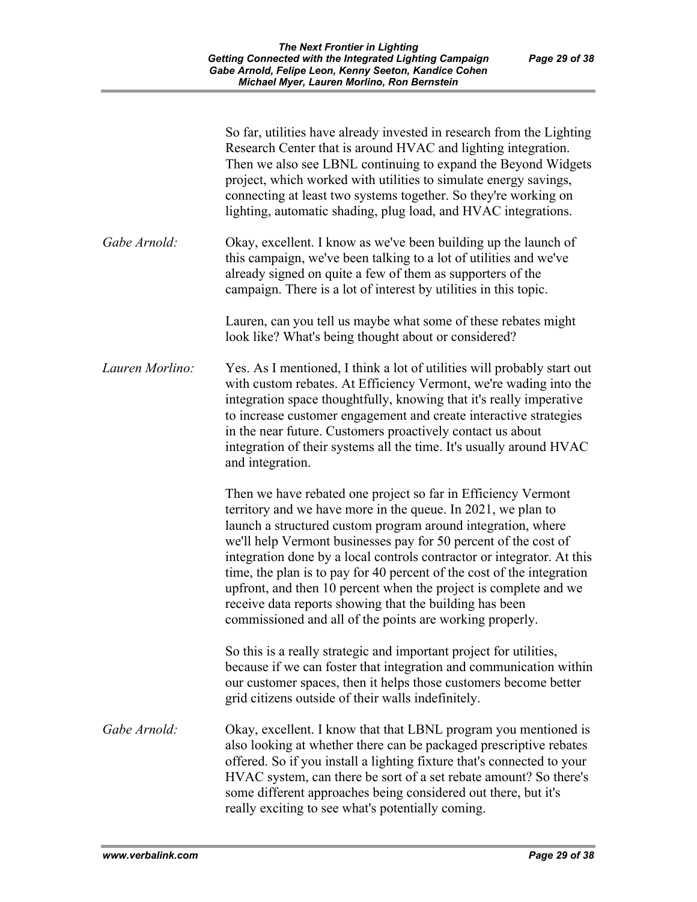|                 | So far, utilities have already invested in research from the Lighting<br>Research Center that is around HVAC and lighting integration.<br>Then we also see LBNL continuing to expand the Beyond Widgets<br>project, which worked with utilities to simulate energy savings,<br>connecting at least two systems together. So they're working on<br>lighting, automatic shading, plug load, and HVAC integrations.                                                                                                                                                                                                |
|-----------------|-----------------------------------------------------------------------------------------------------------------------------------------------------------------------------------------------------------------------------------------------------------------------------------------------------------------------------------------------------------------------------------------------------------------------------------------------------------------------------------------------------------------------------------------------------------------------------------------------------------------|
| Gabe Arnold:    | Okay, excellent. I know as we've been building up the launch of<br>this campaign, we've been talking to a lot of utilities and we've<br>already signed on quite a few of them as supporters of the<br>campaign. There is a lot of interest by utilities in this topic.                                                                                                                                                                                                                                                                                                                                          |
|                 | Lauren, can you tell us maybe what some of these rebates might<br>look like? What's being thought about or considered?                                                                                                                                                                                                                                                                                                                                                                                                                                                                                          |
| Lauren Morlino: | Yes. As I mentioned, I think a lot of utilities will probably start out<br>with custom rebates. At Efficiency Vermont, we're wading into the<br>integration space thoughtfully, knowing that it's really imperative<br>to increase customer engagement and create interactive strategies<br>in the near future. Customers proactively contact us about<br>integration of their systems all the time. It's usually around HVAC<br>and integration.                                                                                                                                                               |
|                 | Then we have rebated one project so far in Efficiency Vermont<br>territory and we have more in the queue. In 2021, we plan to<br>launch a structured custom program around integration, where<br>we'll help Vermont businesses pay for 50 percent of the cost of<br>integration done by a local controls contractor or integrator. At this<br>time, the plan is to pay for 40 percent of the cost of the integration<br>upfront, and then 10 percent when the project is complete and we<br>receive data reports showing that the building has been<br>commissioned and all of the points are working properly. |
|                 | So this is a really strategic and important project for utilities,<br>because if we can foster that integration and communication within<br>our customer spaces, then it helps those customers become better<br>grid citizens outside of their walls indefinitely.                                                                                                                                                                                                                                                                                                                                              |
| Gabe Arnold:    | Okay, excellent. I know that that LBNL program you mentioned is<br>also looking at whether there can be packaged prescriptive rebates<br>offered. So if you install a lighting fixture that's connected to your<br>HVAC system, can there be sort of a set rebate amount? So there's<br>some different approaches being considered out there, but it's<br>really exciting to see what's potentially coming.                                                                                                                                                                                                     |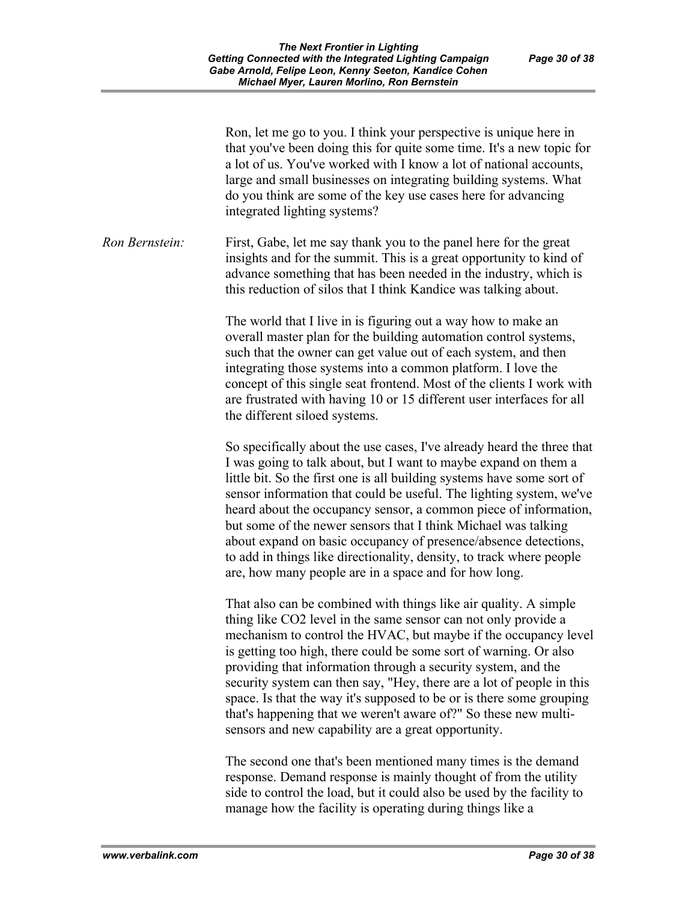|                | Ron, let me go to you. I think your perspective is unique here in<br>that you've been doing this for quite some time. It's a new topic for<br>a lot of us. You've worked with I know a lot of national accounts,<br>large and small businesses on integrating building systems. What<br>do you think are some of the key use cases here for advancing<br>integrated lighting systems?                                                                                                                                                                                                                                                |
|----------------|--------------------------------------------------------------------------------------------------------------------------------------------------------------------------------------------------------------------------------------------------------------------------------------------------------------------------------------------------------------------------------------------------------------------------------------------------------------------------------------------------------------------------------------------------------------------------------------------------------------------------------------|
| Ron Bernstein: | First, Gabe, let me say thank you to the panel here for the great<br>insights and for the summit. This is a great opportunity to kind of<br>advance something that has been needed in the industry, which is<br>this reduction of silos that I think Kandice was talking about.                                                                                                                                                                                                                                                                                                                                                      |
|                | The world that I live in is figuring out a way how to make an<br>overall master plan for the building automation control systems,<br>such that the owner can get value out of each system, and then<br>integrating those systems into a common platform. I love the<br>concept of this single seat frontend. Most of the clients I work with<br>are frustrated with having 10 or 15 different user interfaces for all<br>the different siloed systems.                                                                                                                                                                               |
|                | So specifically about the use cases, I've already heard the three that<br>I was going to talk about, but I want to maybe expand on them a<br>little bit. So the first one is all building systems have some sort of<br>sensor information that could be useful. The lighting system, we've<br>heard about the occupancy sensor, a common piece of information,<br>but some of the newer sensors that I think Michael was talking<br>about expand on basic occupancy of presence/absence detections,<br>to add in things like directionality, density, to track where people<br>are, how many people are in a space and for how long. |
|                | That also can be combined with things like air quality. A simple<br>thing like CO2 level in the same sensor can not only provide a<br>mechanism to control the HVAC, but maybe if the occupancy level<br>is getting too high, there could be some sort of warning. Or also<br>providing that information through a security system, and the<br>security system can then say, "Hey, there are a lot of people in this<br>space. Is that the way it's supposed to be or is there some grouping<br>that's happening that we weren't aware of?" So these new multi-<br>sensors and new capability are a great opportunity.               |
|                | The second one that's been mentioned many times is the demand<br>response. Demand response is mainly thought of from the utility<br>side to control the load, but it could also be used by the facility to                                                                                                                                                                                                                                                                                                                                                                                                                           |

manage how the facility is operating during things like a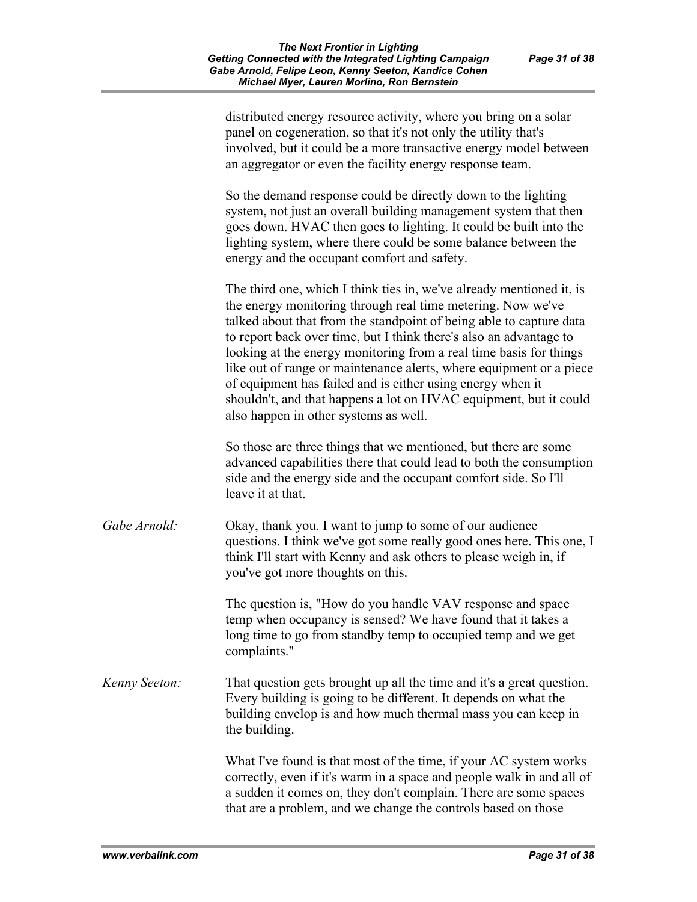|               | distributed energy resource activity, where you bring on a solar<br>panel on cogeneration, so that it's not only the utility that's<br>involved, but it could be a more transactive energy model between<br>an aggregator or even the facility energy response team.                                                                                                                                                                                                                                                                                                                                      |
|---------------|-----------------------------------------------------------------------------------------------------------------------------------------------------------------------------------------------------------------------------------------------------------------------------------------------------------------------------------------------------------------------------------------------------------------------------------------------------------------------------------------------------------------------------------------------------------------------------------------------------------|
|               | So the demand response could be directly down to the lighting<br>system, not just an overall building management system that then<br>goes down. HVAC then goes to lighting. It could be built into the<br>lighting system, where there could be some balance between the<br>energy and the occupant comfort and safety.                                                                                                                                                                                                                                                                                   |
|               | The third one, which I think ties in, we've already mentioned it, is<br>the energy monitoring through real time metering. Now we've<br>talked about that from the standpoint of being able to capture data<br>to report back over time, but I think there's also an advantage to<br>looking at the energy monitoring from a real time basis for things<br>like out of range or maintenance alerts, where equipment or a piece<br>of equipment has failed and is either using energy when it<br>shouldn't, and that happens a lot on HVAC equipment, but it could<br>also happen in other systems as well. |
|               | So those are three things that we mentioned, but there are some<br>advanced capabilities there that could lead to both the consumption<br>side and the energy side and the occupant comfort side. So I'll<br>leave it at that.                                                                                                                                                                                                                                                                                                                                                                            |
| Gabe Arnold:  | Okay, thank you. I want to jump to some of our audience<br>questions. I think we've got some really good ones here. This one, I<br>think I'll start with Kenny and ask others to please weigh in, if<br>you've got more thoughts on this.                                                                                                                                                                                                                                                                                                                                                                 |
|               | The question is, "How do you handle VAV response and space<br>temp when occupancy is sensed? We have found that it takes a<br>long time to go from standby temp to occupied temp and we get<br>complaints."                                                                                                                                                                                                                                                                                                                                                                                               |
| Kenny Seeton: | That question gets brought up all the time and it's a great question.<br>Every building is going to be different. It depends on what the<br>building envelop is and how much thermal mass you can keep in<br>the building.                                                                                                                                                                                                                                                                                                                                                                                |
|               | What I've found is that most of the time, if your AC system works<br>correctly, even if it's warm in a space and people walk in and all of<br>a sudden it comes on, they don't complain. There are some spaces<br>that are a problem, and we change the controls based on those                                                                                                                                                                                                                                                                                                                           |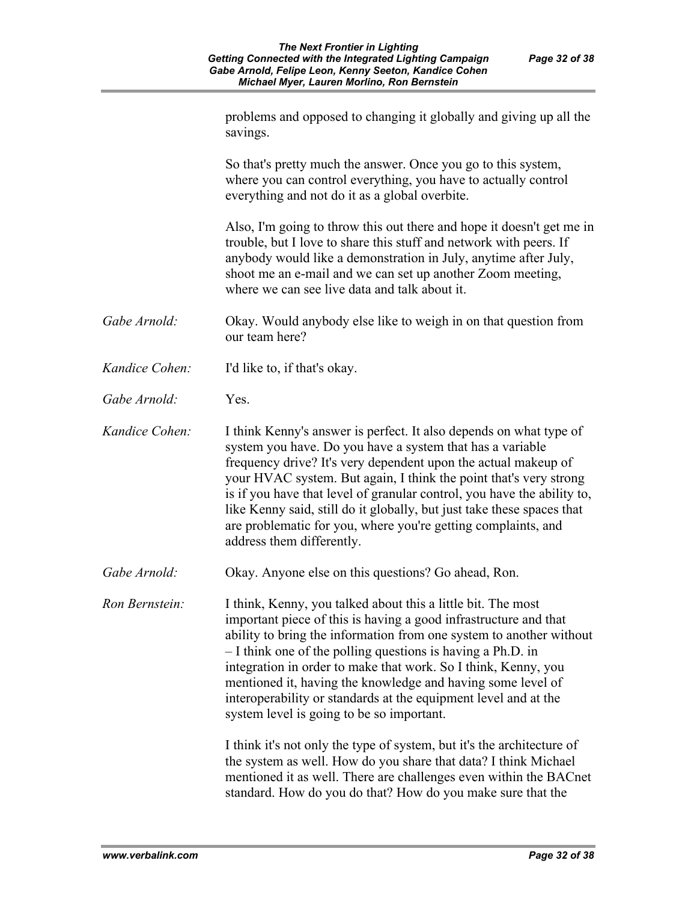|                | problems and opposed to changing it globally and giving up all the<br>savings.                                                                                                                                                                                                                                                                                                                                                                                                                                            |
|----------------|---------------------------------------------------------------------------------------------------------------------------------------------------------------------------------------------------------------------------------------------------------------------------------------------------------------------------------------------------------------------------------------------------------------------------------------------------------------------------------------------------------------------------|
|                | So that's pretty much the answer. Once you go to this system,<br>where you can control everything, you have to actually control<br>everything and not do it as a global overbite.                                                                                                                                                                                                                                                                                                                                         |
|                | Also, I'm going to throw this out there and hope it doesn't get me in<br>trouble, but I love to share this stuff and network with peers. If<br>anybody would like a demonstration in July, anytime after July,<br>shoot me an e-mail and we can set up another Zoom meeting,<br>where we can see live data and talk about it.                                                                                                                                                                                             |
| Gabe Arnold:   | Okay. Would anybody else like to weigh in on that question from<br>our team here?                                                                                                                                                                                                                                                                                                                                                                                                                                         |
| Kandice Cohen: | I'd like to, if that's okay.                                                                                                                                                                                                                                                                                                                                                                                                                                                                                              |
| Gabe Arnold:   | Yes.                                                                                                                                                                                                                                                                                                                                                                                                                                                                                                                      |
| Kandice Cohen: | I think Kenny's answer is perfect. It also depends on what type of<br>system you have. Do you have a system that has a variable<br>frequency drive? It's very dependent upon the actual makeup of<br>your HVAC system. But again, I think the point that's very strong<br>is if you have that level of granular control, you have the ability to,<br>like Kenny said, still do it globally, but just take these spaces that<br>are problematic for you, where you're getting complaints, and<br>address them differently. |
| Gabe Arnold:   | Okay. Anyone else on this questions? Go ahead, Ron.                                                                                                                                                                                                                                                                                                                                                                                                                                                                       |
| Ron Bernstein: | I think, Kenny, you talked about this a little bit. The most<br>important piece of this is having a good infrastructure and that<br>ability to bring the information from one system to another without<br>- I think one of the polling questions is having a Ph.D. in<br>integration in order to make that work. So I think, Kenny, you<br>mentioned it, having the knowledge and having some level of<br>interoperability or standards at the equipment level and at the<br>system level is going to be so important.   |
|                | I think it's not only the type of system, but it's the architecture of<br>the system as well. How do you share that data? I think Michael<br>mentioned it as well. There are challenges even within the BACnet<br>standard. How do you do that? How do you make sure that the                                                                                                                                                                                                                                             |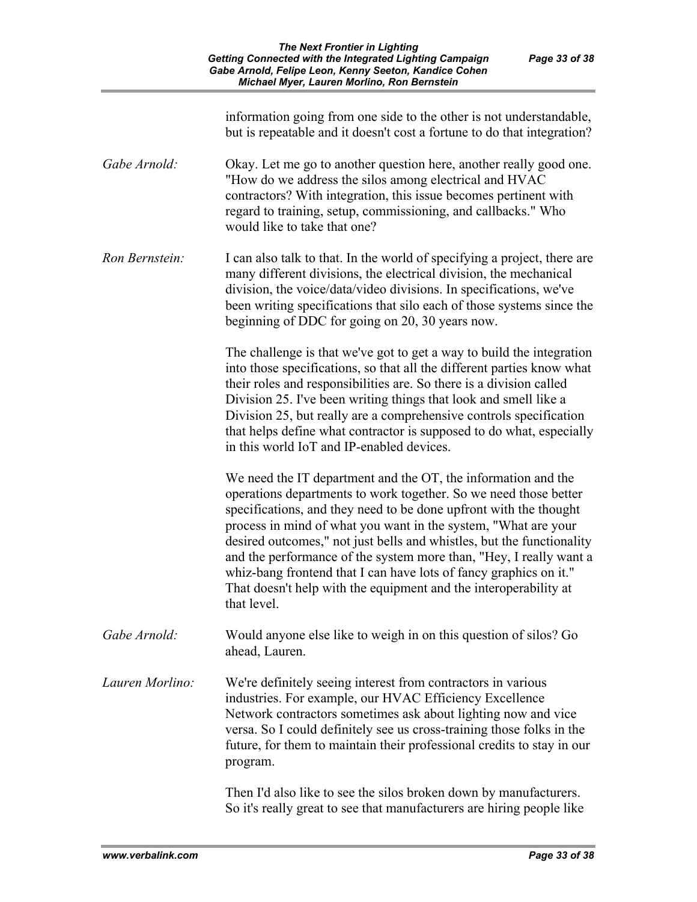|                 | information going from one side to the other is not understandable,<br>but is repeatable and it doesn't cost a fortune to do that integration?                                                                                                                                                                                                                                                                                                                                                                                                                                  |
|-----------------|---------------------------------------------------------------------------------------------------------------------------------------------------------------------------------------------------------------------------------------------------------------------------------------------------------------------------------------------------------------------------------------------------------------------------------------------------------------------------------------------------------------------------------------------------------------------------------|
| Gabe Arnold:    | Okay. Let me go to another question here, another really good one.<br>"How do we address the silos among electrical and HVAC<br>contractors? With integration, this issue becomes pertinent with<br>regard to training, setup, commissioning, and callbacks." Who<br>would like to take that one?                                                                                                                                                                                                                                                                               |
| Ron Bernstein:  | I can also talk to that. In the world of specifying a project, there are<br>many different divisions, the electrical division, the mechanical<br>division, the voice/data/video divisions. In specifications, we've<br>been writing specifications that silo each of those systems since the<br>beginning of DDC for going on 20, 30 years now.                                                                                                                                                                                                                                 |
|                 | The challenge is that we've got to get a way to build the integration<br>into those specifications, so that all the different parties know what<br>their roles and responsibilities are. So there is a division called<br>Division 25. I've been writing things that look and smell like a<br>Division 25, but really are a comprehensive controls specification<br>that helps define what contractor is supposed to do what, especially<br>in this world IoT and IP-enabled devices.                                                                                           |
|                 | We need the IT department and the OT, the information and the<br>operations departments to work together. So we need those better<br>specifications, and they need to be done upfront with the thought<br>process in mind of what you want in the system, "What are your<br>desired outcomes," not just bells and whistles, but the functionality<br>and the performance of the system more than, "Hey, I really want a<br>whiz-bang frontend that I can have lots of fancy graphics on it."<br>That doesn't help with the equipment and the interoperability at<br>that level. |
| Gabe Arnold:    | Would anyone else like to weigh in on this question of silos? Go<br>ahead, Lauren.                                                                                                                                                                                                                                                                                                                                                                                                                                                                                              |
| Lauren Morlino: | We're definitely seeing interest from contractors in various<br>industries. For example, our HVAC Efficiency Excellence<br>Network contractors sometimes ask about lighting now and vice<br>versa. So I could definitely see us cross-training those folks in the<br>future, for them to maintain their professional credits to stay in our<br>program.                                                                                                                                                                                                                         |
|                 | Then I'd also like to see the silos broken down by manufacturers.<br>So it's really great to see that manufacturers are hiring people like                                                                                                                                                                                                                                                                                                                                                                                                                                      |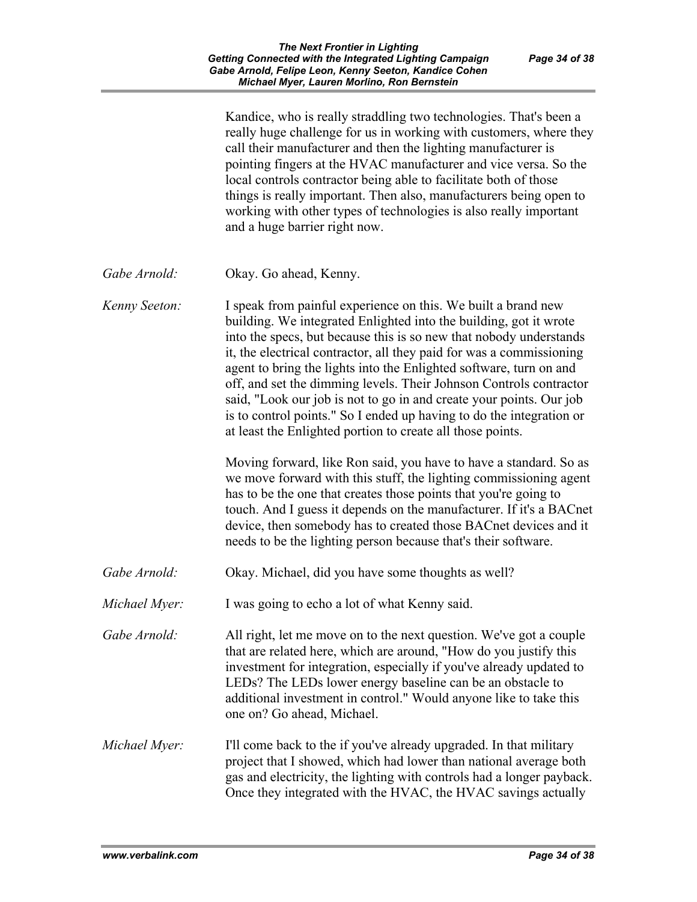|               | Kandice, who is really straddling two technologies. That's been a<br>really huge challenge for us in working with customers, where they<br>call their manufacturer and then the lighting manufacturer is<br>pointing fingers at the HVAC manufacturer and vice versa. So the<br>local controls contractor being able to facilitate both of those<br>things is really important. Then also, manufacturers being open to<br>working with other types of technologies is also really important<br>and a huge barrier right now.                                                                                                              |
|---------------|-------------------------------------------------------------------------------------------------------------------------------------------------------------------------------------------------------------------------------------------------------------------------------------------------------------------------------------------------------------------------------------------------------------------------------------------------------------------------------------------------------------------------------------------------------------------------------------------------------------------------------------------|
| Gabe Arnold:  | Okay. Go ahead, Kenny.                                                                                                                                                                                                                                                                                                                                                                                                                                                                                                                                                                                                                    |
| Kenny Seeton: | I speak from painful experience on this. We built a brand new<br>building. We integrated Enlighted into the building, got it wrote<br>into the specs, but because this is so new that nobody understands<br>it, the electrical contractor, all they paid for was a commissioning<br>agent to bring the lights into the Enlighted software, turn on and<br>off, and set the dimming levels. Their Johnson Controls contractor<br>said, "Look our job is not to go in and create your points. Our job<br>is to control points." So I ended up having to do the integration or<br>at least the Enlighted portion to create all those points. |
|               | Moving forward, like Ron said, you have to have a standard. So as<br>we move forward with this stuff, the lighting commissioning agent<br>has to be the one that creates those points that you're going to<br>touch. And I guess it depends on the manufacturer. If it's a BACnet<br>device, then somebody has to created those BACnet devices and it<br>needs to be the lighting person because that's their software.                                                                                                                                                                                                                   |
| Gabe Arnold:  | Okay. Michael, did you have some thoughts as well?                                                                                                                                                                                                                                                                                                                                                                                                                                                                                                                                                                                        |
| Michael Myer: | I was going to echo a lot of what Kenny said.                                                                                                                                                                                                                                                                                                                                                                                                                                                                                                                                                                                             |
| Gabe Arnold:  | All right, let me move on to the next question. We've got a couple<br>that are related here, which are around, "How do you justify this<br>investment for integration, especially if you've already updated to<br>LEDs? The LEDs lower energy baseline can be an obstacle to<br>additional investment in control." Would anyone like to take this<br>one on? Go ahead, Michael.                                                                                                                                                                                                                                                           |
| Michael Myer: | I'll come back to the if you've already upgraded. In that military<br>project that I showed, which had lower than national average both<br>gas and electricity, the lighting with controls had a longer payback.<br>Once they integrated with the HVAC, the HVAC savings actually                                                                                                                                                                                                                                                                                                                                                         |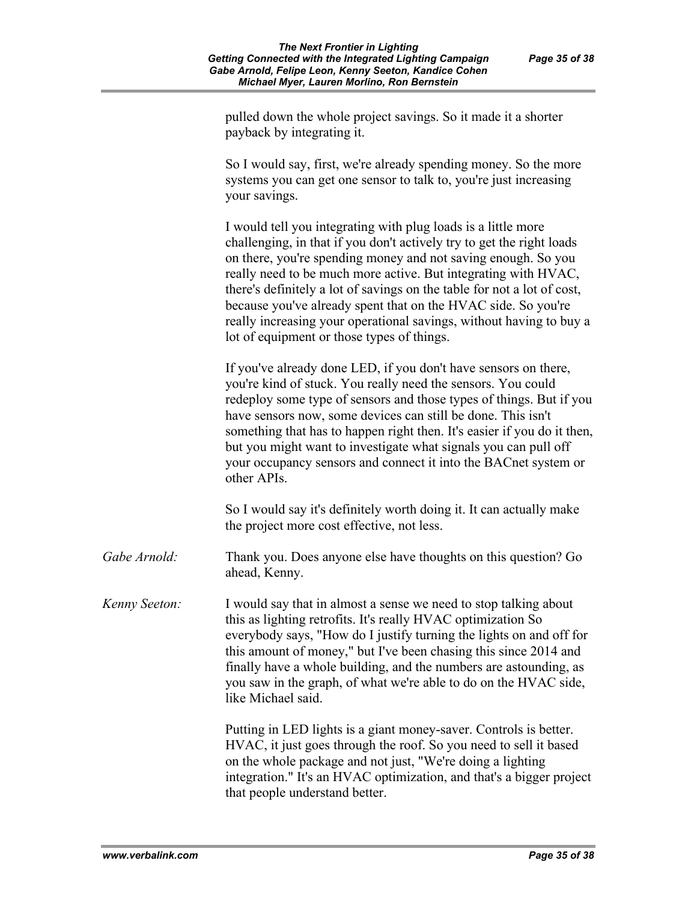pulled down the whole project savings. So it made it a shorter payback by integrating it.

So I would say, first, we're already spending money. So the more systems you can get one sensor to talk to, you're just increasing your savings.

I would tell you integrating with plug loads is a little more challenging, in that if you don't actively try to get the right loads on there, you're spending money and not saving enough. So you really need to be much more active. But integrating with HVAC, there's definitely a lot of savings on the table for not a lot of cost, because you've already spent that on the HVAC side. So you're really increasing your operational savings, without having to buy a lot of equipment or those types of things.

If you've already done LED, if you don't have sensors on there, you're kind of stuck. You really need the sensors. You could redeploy some type of sensors and those types of things. But if you have sensors now, some devices can still be done. This isn't something that has to happen right then. It's easier if you do it then, but you might want to investigate what signals you can pull off your occupancy sensors and connect it into the BACnet system or other APIs.

So I would say it's definitely worth doing it. It can actually make the project more cost effective, not less.

*Gabe Arnold:* Thank you. Does anyone else have thoughts on this question? Go ahead, Kenny.

*Kenny Seeton:* I would say that in almost a sense we need to stop talking about this as lighting retrofits. It's really HVAC optimization So everybody says, "How do I justify turning the lights on and off for this amount of money," but I've been chasing this since 2014 and finally have a whole building, and the numbers are astounding, as you saw in the graph, of what we're able to do on the HVAC side, like Michael said.

> Putting in LED lights is a giant money-saver. Controls is better. HVAC, it just goes through the roof. So you need to sell it based on the whole package and not just, "We're doing a lighting integration." It's an HVAC optimization, and that's a bigger project that people understand better.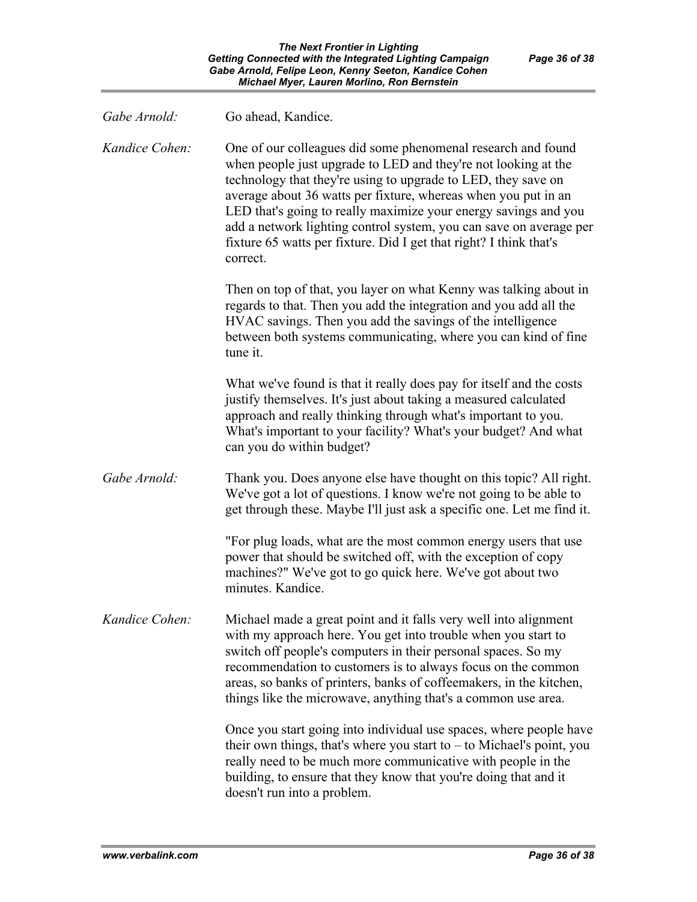| Gabe Arnold:   | Go ahead, Kandice.                                                                                                                                                                                                                                                                                                                                                                                                                                                                           |
|----------------|----------------------------------------------------------------------------------------------------------------------------------------------------------------------------------------------------------------------------------------------------------------------------------------------------------------------------------------------------------------------------------------------------------------------------------------------------------------------------------------------|
| Kandice Cohen: | One of our colleagues did some phenomenal research and found<br>when people just upgrade to LED and they're not looking at the<br>technology that they're using to upgrade to LED, they save on<br>average about 36 watts per fixture, whereas when you put in an<br>LED that's going to really maximize your energy savings and you<br>add a network lighting control system, you can save on average per<br>fixture 65 watts per fixture. Did I get that right? I think that's<br>correct. |
|                | Then on top of that, you layer on what Kenny was talking about in<br>regards to that. Then you add the integration and you add all the<br>HVAC savings. Then you add the savings of the intelligence<br>between both systems communicating, where you can kind of fine<br>tune it.                                                                                                                                                                                                           |
|                | What we've found is that it really does pay for itself and the costs<br>justify themselves. It's just about taking a measured calculated<br>approach and really thinking through what's important to you.<br>What's important to your facility? What's your budget? And what<br>can you do within budget?                                                                                                                                                                                    |
| Gabe Arnold:   | Thank you. Does anyone else have thought on this topic? All right.<br>We've got a lot of questions. I know we're not going to be able to<br>get through these. Maybe I'll just ask a specific one. Let me find it.                                                                                                                                                                                                                                                                           |
|                | "For plug loads, what are the most common energy users that use<br>power that should be switched off, with the exception of copy<br>machines?" We've got to go quick here. We've got about two<br>minutes. Kandice.                                                                                                                                                                                                                                                                          |
| Kandice Cohen: | Michael made a great point and it falls very well into alignment<br>with my approach here. You get into trouble when you start to<br>switch off people's computers in their personal spaces. So my<br>recommendation to customers is to always focus on the common<br>areas, so banks of printers, banks of coffeemakers, in the kitchen,<br>things like the microwave, anything that's a common use area.                                                                                   |
|                | Once you start going into individual use spaces, where people have<br>their own things, that's where you start to $-$ to Michael's point, you<br>really need to be much more communicative with people in the<br>building, to ensure that they know that you're doing that and it<br>doesn't run into a problem.                                                                                                                                                                             |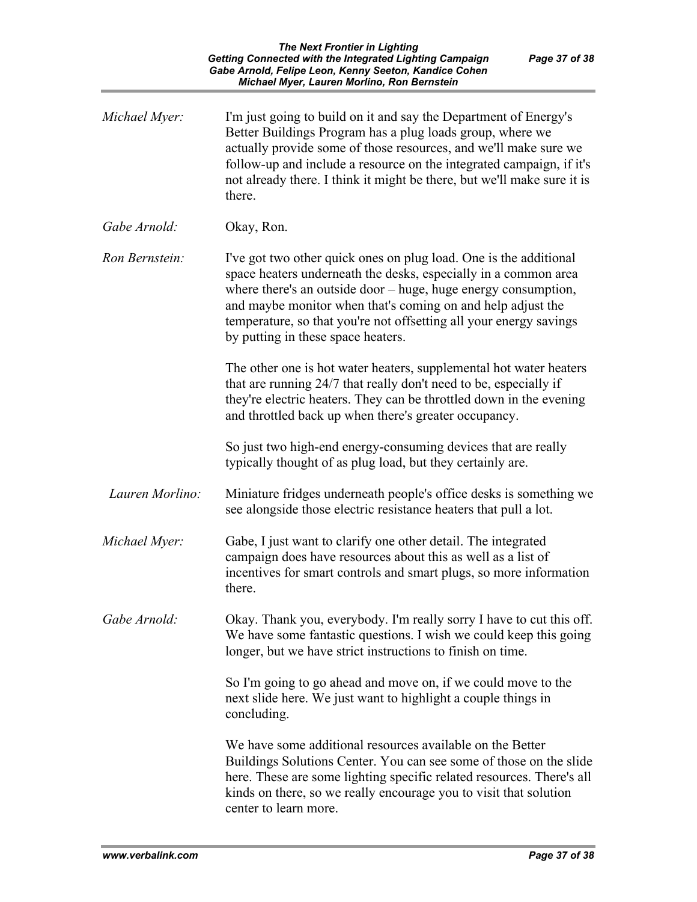| Michael Myer:   | I'm just going to build on it and say the Department of Energy's<br>Better Buildings Program has a plug loads group, where we<br>actually provide some of those resources, and we'll make sure we<br>follow-up and include a resource on the integrated campaign, if it's<br>not already there. I think it might be there, but we'll make sure it is<br>there.                    |
|-----------------|-----------------------------------------------------------------------------------------------------------------------------------------------------------------------------------------------------------------------------------------------------------------------------------------------------------------------------------------------------------------------------------|
| Gabe Arnold:    | Okay, Ron.                                                                                                                                                                                                                                                                                                                                                                        |
| Ron Bernstein:  | I've got two other quick ones on plug load. One is the additional<br>space heaters underneath the desks, especially in a common area<br>where there's an outside door – huge, huge energy consumption,<br>and maybe monitor when that's coming on and help adjust the<br>temperature, so that you're not offsetting all your energy savings<br>by putting in these space heaters. |
|                 | The other one is hot water heaters, supplemental hot water heaters<br>that are running 24/7 that really don't need to be, especially if<br>they're electric heaters. They can be throttled down in the evening<br>and throttled back up when there's greater occupancy.                                                                                                           |
|                 | So just two high-end energy-consuming devices that are really<br>typically thought of as plug load, but they certainly are.                                                                                                                                                                                                                                                       |
| Lauren Morlino: | Miniature fridges underneath people's office desks is something we<br>see alongside those electric resistance heaters that pull a lot.                                                                                                                                                                                                                                            |
| Michael Myer:   | Gabe, I just want to clarify one other detail. The integrated<br>campaign does have resources about this as well as a list of<br>incentives for smart controls and smart plugs, so more information<br>there.                                                                                                                                                                     |
| Gabe Arnold:    | Okay. Thank you, everybody. I'm really sorry I have to cut this off.<br>We have some fantastic questions. I wish we could keep this going<br>longer, but we have strict instructions to finish on time.                                                                                                                                                                           |
|                 | So I'm going to go ahead and move on, if we could move to the<br>next slide here. We just want to highlight a couple things in<br>concluding.                                                                                                                                                                                                                                     |
|                 | We have some additional resources available on the Better<br>Buildings Solutions Center. You can see some of those on the slide<br>here. These are some lighting specific related resources. There's all<br>kinds on there, so we really encourage you to visit that solution<br>center to learn more.                                                                            |